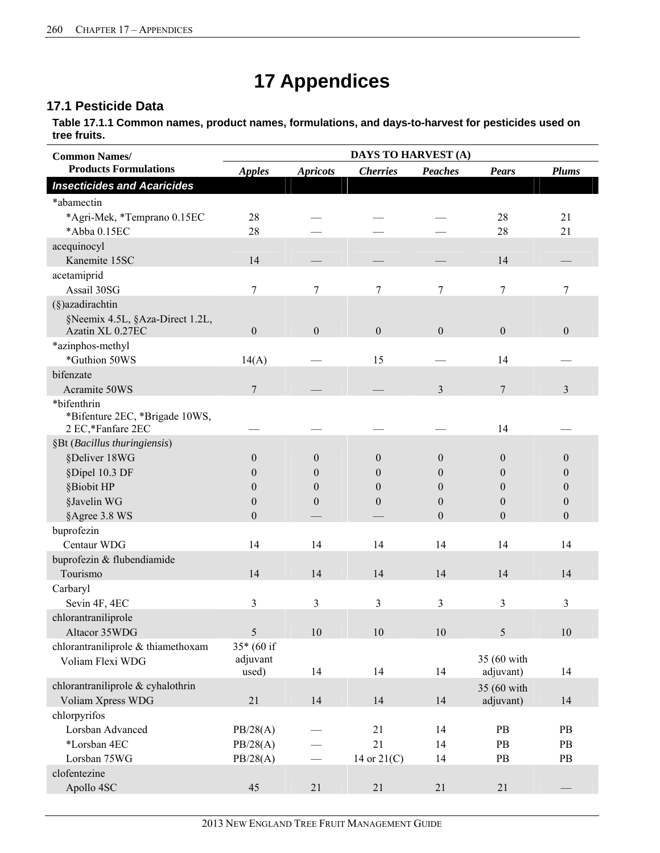# **17 Appendices**

## 17.1 Pesticide Data

Table 17.1.1 Common names, product names, formulations, and days-to-harvest for pesticides used on tree fruits.

| <b>Common Names/</b>                          | <b>DAYS TO HARVEST (A)</b> |                  |                  |                  |                          |                  |
|-----------------------------------------------|----------------------------|------------------|------------------|------------------|--------------------------|------------------|
| <b>Products Formulations</b>                  | <b>Apples</b>              | <b>Apricots</b>  | <b>Cherries</b>  | <b>Peaches</b>   | <b>Pears</b>             | <b>Plums</b>     |
| <b>Insecticides and Acaricides</b>            |                            |                  |                  |                  |                          |                  |
| *abamectin                                    |                            |                  |                  |                  |                          |                  |
| *Agri-Mek, *Temprano 0.15EC                   | 28                         |                  |                  |                  | 28                       | 21               |
| *Abba 0.15EC                                  | 28                         |                  |                  |                  | 28                       | 21               |
| acequinocyl                                   |                            |                  |                  |                  |                          |                  |
| Kanemite 15SC                                 | 14                         |                  |                  |                  | 14                       |                  |
| acetamiprid                                   |                            |                  |                  |                  |                          |                  |
| Assail 30SG                                   | 7                          | 7                | 7                | 7                | 7                        | 7                |
| $(\S)$ azadirachtin                           |                            |                  |                  |                  |                          |                  |
| §Neemix 4.5L, §Aza-Direct 1.2L,               |                            |                  |                  |                  |                          |                  |
| Azatin XL 0.27EC                              | $\mathbf{0}$               | $\boldsymbol{0}$ | $\boldsymbol{0}$ | $\boldsymbol{0}$ | $\mathbf{0}$             | $\overline{0}$   |
| *azinphos-methyl                              |                            |                  |                  |                  |                          |                  |
| *Guthion 50WS                                 | 14(A)                      |                  | 15               |                  | 14                       |                  |
| bifenzate                                     |                            |                  |                  |                  |                          |                  |
| Acramite 50WS                                 | $\overline{7}$             |                  |                  | 3                | $\overline{7}$           | 3                |
| *bifenthrin<br>*Bifenture 2EC, *Brigade 10WS, |                            |                  |                  |                  |                          |                  |
| 2 EC,*Fanfare 2EC                             |                            |                  |                  |                  | 14                       |                  |
| §Bt (Bacillus thuringiensis)                  |                            |                  |                  |                  |                          |                  |
| §Deliver 18WG                                 | $\Omega$                   | $\theta$         | $\theta$         | $\theta$         | $\theta$                 | $\theta$         |
| §Dipel 10.3 DF                                | $\Omega$                   | $\Omega$         | $\Omega$         | $\Omega$         | $\theta$                 | $\theta$         |
| §Biobit HP                                    | $\Omega$                   | $\Omega$         | $\theta$         | $\Omega$         | $\Omega$                 | 0                |
| §Javelin WG                                   | $\theta$                   | $\theta$         | $\theta$         | $\theta$         | $\theta$                 | $\overline{0}$   |
| §Agree 3.8 WS                                 | $\boldsymbol{0}$           |                  |                  | $\boldsymbol{0}$ | $\theta$                 | $\boldsymbol{0}$ |
| buprofezin                                    |                            |                  |                  |                  |                          |                  |
| Centaur WDG                                   | 14                         | 14               | 14               | 14               | 14                       | 14               |
| buprofezin & flubendiamide                    |                            |                  |                  |                  |                          |                  |
| Tourismo                                      | 14                         | 14               | 14               | 14               | 14                       | 14               |
| Carbaryl                                      |                            |                  |                  |                  |                          |                  |
| Sevin 4F, 4EC                                 | 3                          | 3                | 3                | 3                | 3                        | 3                |
| chlorantraniliprole                           |                            |                  |                  |                  |                          |                  |
| Altacor 35WDG                                 | 5                          | $10\,$           | $10\,$           | $10\,$           | 5                        | 10               |
| chlorantraniliprole & thiamethoxam            | 35* (60 if                 |                  |                  |                  |                          |                  |
| Voliam Flexi WDG                              | adjuvant<br>used)          | 14               | 14               | 14               | 35 (60 with<br>adjuvant) | 14               |
| chlorantraniliprole & cyhalothrin             |                            |                  |                  |                  |                          |                  |
| Voliam Xpress WDG                             | 21                         | 14               | 14               | 14               | 35 (60 with<br>adjuvant) | 14               |
| chlorpyrifos                                  |                            |                  |                  |                  |                          |                  |
| Lorsban Advanced                              | PB/28(A)                   |                  | 21               | 14               | PB                       | PB               |
| *Lorsban 4EC                                  | PB/28(A)                   |                  | 21               | 14               | PB                       | PB               |
| Lorsban 75WG                                  | PB/28(A)                   |                  | 14 or $21(C)$    | 14               | PB                       | PB               |
| clofentezine                                  |                            |                  |                  |                  |                          |                  |
| Apollo 4SC                                    | 45                         | $21\,$           | 21               | 21               | $21\,$                   |                  |
|                                               |                            |                  |                  |                  |                          |                  |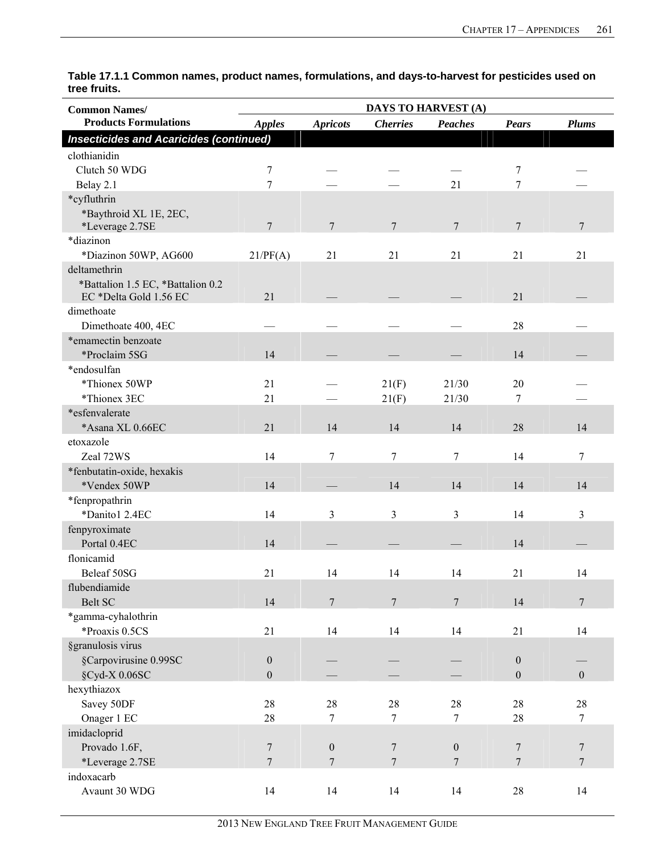| <b>Common Names/</b>                                        |                  |                  |                 | DAYS TO HARVEST (A) |                  |                  |
|-------------------------------------------------------------|------------------|------------------|-----------------|---------------------|------------------|------------------|
| <b>Products Formulations</b>                                | <b>Apples</b>    | <b>Apricots</b>  | <b>Cherries</b> | <b>Peaches</b>      | <b>Pears</b>     | <b>Plums</b>     |
| <b>Insecticides and Acaricides (continued)</b>              |                  |                  |                 |                     |                  |                  |
| clothianidin                                                |                  |                  |                 |                     |                  |                  |
| Clutch 50 WDG                                               | 7                |                  |                 |                     | 7                |                  |
| Belay 2.1                                                   | $\overline{7}$   |                  |                 | 21                  | 7                |                  |
| *cyfluthrin                                                 |                  |                  |                 |                     |                  |                  |
| *Baythroid XL 1E, 2EC,<br>*Leverage 2.7SE                   | $\overline{7}$   | $\overline{7}$   | $7\phantom{.0}$ | $7\phantom{.0}$     | 7                | $\boldsymbol{7}$ |
| *diazinon                                                   |                  |                  |                 |                     |                  |                  |
| *Diazinon 50WP, AG600                                       | 21/PF(A)         | 21               | 21              | 21                  | 21               | 21               |
| deltamethrin                                                |                  |                  |                 |                     |                  |                  |
| *Battalion 1.5 EC, *Battalion 0.2<br>EC *Delta Gold 1.56 EC | 21               |                  |                 |                     | 21               |                  |
| dimethoate                                                  |                  |                  |                 |                     |                  |                  |
| Dimethoate 400, 4EC                                         |                  |                  |                 |                     | 28               |                  |
| *emamectin benzoate                                         |                  |                  |                 |                     |                  |                  |
| *Proclaim 5SG                                               | 14               |                  |                 |                     | 14               |                  |
| *endosulfan                                                 |                  |                  |                 |                     |                  |                  |
| *Thionex 50WP                                               | 21               |                  | 21(F)           | 21/30               | 20               |                  |
| *Thionex 3EC                                                | 21               |                  | 21(F)           | 21/30               | 7                |                  |
| *esfenvalerate                                              |                  |                  |                 |                     |                  |                  |
| *Asana XL 0.66EC                                            | 21               | 14               | 14              | 14                  | 28               | 14               |
| etoxazole                                                   |                  |                  |                 |                     |                  |                  |
| Zeal 72WS                                                   | 14               | 7                | 7               | $\tau$              | 14               | 7                |
| *fenbutatin-oxide, hexakis                                  |                  |                  |                 |                     |                  |                  |
| *Vendex 50WP                                                | 14               |                  | 14              | 14                  | 14               | 14               |
| *fenpropathrin                                              |                  |                  |                 |                     |                  |                  |
| *Danito1 2.4EC                                              | 14               | 3                | 3               | 3                   | 14               | 3                |
| fenpyroximate                                               |                  |                  |                 |                     |                  |                  |
| Portal 0.4EC                                                | 14               |                  |                 |                     | 14               |                  |
| flonicamid                                                  |                  |                  |                 |                     |                  |                  |
| Beleaf 50SG                                                 | 21               | 14               | 14              | 14                  | 21               | 14               |
| flubendiamide                                               |                  |                  |                 |                     |                  |                  |
| <b>Belt SC</b>                                              | 14               | $\overline{7}$   | $7\phantom{.0}$ | $7\phantom{.0}$     | 14               | $7\phantom{.0}$  |
| *gamma-cyhalothrin                                          |                  |                  |                 |                     |                  |                  |
| *Proaxis 0.5CS                                              | 21               | 14               | 14              | 14                  | 21               | 14               |
| §granulosis virus                                           |                  |                  |                 |                     |                  |                  |
| §Carpovirusine 0.99SC                                       | $\boldsymbol{0}$ |                  |                 |                     | $\boldsymbol{0}$ |                  |
| §Cyd-X 0.06SC                                               | $\boldsymbol{0}$ |                  |                 |                     | $\boldsymbol{0}$ | $\boldsymbol{0}$ |
| hexythiazox                                                 |                  |                  |                 |                     |                  |                  |
| Savey 50DF                                                  | 28               | 28               | $28\,$          | 28                  | $28\,$           | $28\,$           |
| Onager 1 EC                                                 | 28               | 7                | $7\phantom{.}$  | $\overline{7}$      | 28               | $\overline{7}$   |
| imidacloprid                                                |                  |                  |                 |                     |                  |                  |
| Provado 1.6F,                                               | 7                | $\boldsymbol{0}$ | $\overline{7}$  | $\boldsymbol{0}$    | 7                | $\overline{7}$   |
| *Leverage 2.7SE                                             | $\tau$           | $\tau$           | $7\phantom{.0}$ | $\overline{7}$      | $\tau$           | $\overline{7}$   |
| indoxacarb                                                  |                  |                  |                 |                     |                  |                  |
| Avaunt 30 WDG                                               | 14               | 14               | 14              | 14                  | $28\,$           | 14               |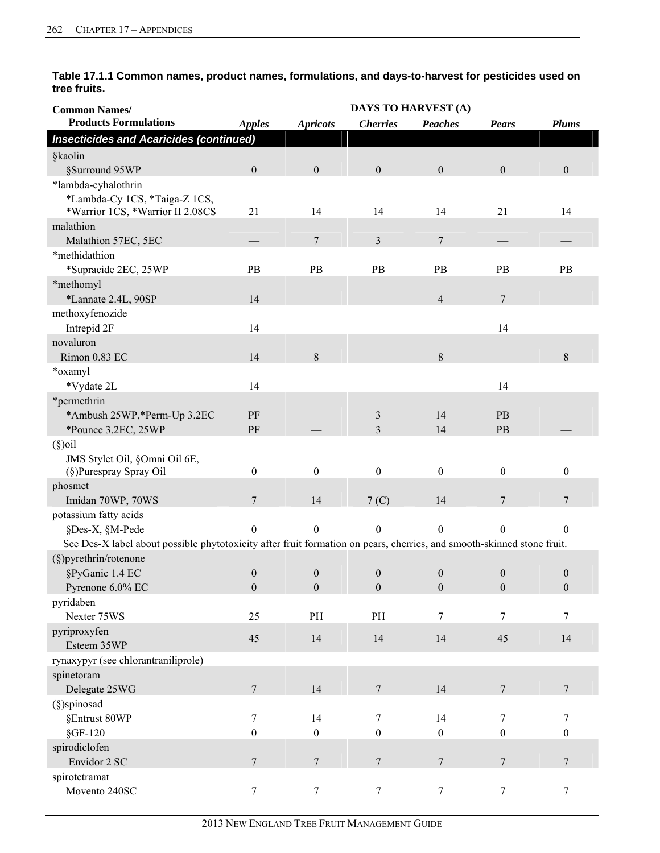| <b>Common Names/</b>                                                                                                   | <b>DAYS TO HARVEST (A)</b>           |                                      |                                      |                                  |                                      |                                      |  |
|------------------------------------------------------------------------------------------------------------------------|--------------------------------------|--------------------------------------|--------------------------------------|----------------------------------|--------------------------------------|--------------------------------------|--|
| <b>Products Formulations</b>                                                                                           | <b>Apples</b>                        | <b>Apricots</b>                      | <b>Cherries</b>                      | Peaches                          | <b>Pears</b>                         | <b>Plums</b>                         |  |
| <b>Insecticides and Acaricides (continued)</b>                                                                         |                                      |                                      |                                      |                                  |                                      |                                      |  |
| §kaolin                                                                                                                |                                      |                                      |                                      |                                  |                                      |                                      |  |
| §Surround 95WP                                                                                                         | $\mathbf{0}$                         | $\boldsymbol{0}$                     | $\boldsymbol{0}$                     | $\boldsymbol{0}$                 | $\boldsymbol{0}$                     | $\boldsymbol{0}$                     |  |
| *lambda-cyhalothrin                                                                                                    |                                      |                                      |                                      |                                  |                                      |                                      |  |
| *Lambda-Cy 1CS, *Taiga-Z 1CS,<br>*Warrior 1CS, *Warrior II 2.08CS                                                      | 21                                   | 14                                   | 14                                   | 14                               | 21                                   | 14                                   |  |
| malathion                                                                                                              |                                      |                                      |                                      |                                  |                                      |                                      |  |
| Malathion 57EC, 5EC                                                                                                    |                                      | 7                                    | $\overline{3}$                       | $\overline{7}$                   |                                      |                                      |  |
| *methidathion                                                                                                          |                                      |                                      |                                      |                                  |                                      |                                      |  |
| *Supracide 2EC, 25WP                                                                                                   | PB                                   | PB                                   | PB                                   | PB                               | PB                                   | PB                                   |  |
| *methomyl                                                                                                              |                                      |                                      |                                      |                                  |                                      |                                      |  |
| *Lannate 2.4L, 90SP                                                                                                    | 14                                   |                                      |                                      | $\overline{4}$                   | 7                                    |                                      |  |
| methoxyfenozide                                                                                                        |                                      |                                      |                                      |                                  |                                      |                                      |  |
| Intrepid 2F<br>novaluron                                                                                               | 14                                   |                                      |                                      |                                  | 14                                   |                                      |  |
| Rimon 0.83 EC                                                                                                          | 14                                   | $\,$ 8 $\,$                          |                                      | $8\,$                            |                                      | 8                                    |  |
| *oxamyl                                                                                                                |                                      |                                      |                                      |                                  |                                      |                                      |  |
| *Vydate 2L                                                                                                             | 14                                   |                                      |                                      |                                  | 14                                   |                                      |  |
| *permethrin                                                                                                            |                                      |                                      |                                      |                                  |                                      |                                      |  |
| *Ambush 25WP,*Perm-Up 3.2EC                                                                                            | PF                                   |                                      | 3                                    | 14                               | PB                                   |                                      |  |
| *Pounce 3.2EC, 25WP                                                                                                    | PF                                   |                                      | 3                                    | 14                               | PB                                   |                                      |  |
| $(\S)$ oil                                                                                                             |                                      |                                      |                                      |                                  |                                      |                                      |  |
| JMS Stylet Oil, §Omni Oil 6E,                                                                                          |                                      |                                      |                                      |                                  |                                      |                                      |  |
| (§)Purespray Spray Oil                                                                                                 | $\boldsymbol{0}$                     | $\boldsymbol{0}$                     | $\boldsymbol{0}$                     | $\boldsymbol{0}$                 | $\boldsymbol{0}$                     | $\boldsymbol{0}$                     |  |
| phosmet                                                                                                                |                                      |                                      |                                      |                                  |                                      |                                      |  |
| Imidan 70WP, 70WS                                                                                                      | 7                                    | 14                                   | 7 <sub>(C)</sub>                     | 14                               | 7                                    | 7                                    |  |
| potassium fatty acids                                                                                                  |                                      |                                      |                                      |                                  |                                      |                                      |  |
| §Des-X, §M-Pede                                                                                                        | $\mathbf{0}$                         | $\boldsymbol{0}$                     | $\mathbf{0}$                         | $\boldsymbol{0}$                 | $\boldsymbol{0}$                     | $\boldsymbol{0}$                     |  |
| See Des-X label about possible phytotoxicity after fruit formation on pears, cherries, and smooth-skinned stone fruit. |                                      |                                      |                                      |                                  |                                      |                                      |  |
| (§)pyrethrin/rotenone                                                                                                  |                                      |                                      |                                      |                                  |                                      |                                      |  |
| §PyGanic 1.4 EC                                                                                                        | $\boldsymbol{0}$<br>$\boldsymbol{0}$ | $\boldsymbol{0}$<br>$\boldsymbol{0}$ | $\boldsymbol{0}$<br>$\boldsymbol{0}$ | $\boldsymbol{0}$<br>$\mathbf{0}$ | $\boldsymbol{0}$<br>$\boldsymbol{0}$ | $\boldsymbol{0}$<br>$\boldsymbol{0}$ |  |
| Pyrenone 6.0% EC<br>pyridaben                                                                                          |                                      |                                      |                                      |                                  |                                      |                                      |  |
| Nexter 75WS                                                                                                            | 25                                   | PH                                   | PH                                   | 7                                | 7                                    | $\boldsymbol{7}$                     |  |
| pyriproxyfen                                                                                                           |                                      |                                      |                                      |                                  |                                      |                                      |  |
| Esteem 35WP                                                                                                            | 45                                   | 14                                   | 14                                   | 14                               | 45                                   | 14                                   |  |
| rynaxypyr (see chlorantraniliprole)                                                                                    |                                      |                                      |                                      |                                  |                                      |                                      |  |
| spinetoram                                                                                                             |                                      |                                      |                                      |                                  |                                      |                                      |  |
| Delegate 25WG                                                                                                          | $\overline{7}$                       | 14                                   | $7\phantom{.0}$                      | 14                               | $\overline{7}$                       | $\overline{7}$                       |  |
| (§)spinosad                                                                                                            |                                      |                                      |                                      |                                  |                                      |                                      |  |
| §Entrust 80WP                                                                                                          | 7                                    | 14                                   | $\tau$                               | 14                               | $\tau$                               | $\boldsymbol{7}$                     |  |
| $§$ GF-120                                                                                                             | $\boldsymbol{0}$                     | $\boldsymbol{0}$                     | $\boldsymbol{0}$                     | $\boldsymbol{0}$                 | $\boldsymbol{0}$                     | $\boldsymbol{0}$                     |  |
| spirodiclofen                                                                                                          |                                      |                                      |                                      |                                  |                                      |                                      |  |
| Envidor 2 SC                                                                                                           | $\overline{7}$                       | $\boldsymbol{7}$                     | $7\phantom{.0}$                      | $\overline{7}$                   | $\overline{7}$                       | $\overline{7}$                       |  |
| spirotetramat                                                                                                          |                                      |                                      |                                      |                                  |                                      |                                      |  |
| Movento 240SC                                                                                                          | $\tau$                               | $\tau$                               | $\tau$                               | $\tau$                           | $\overline{7}$                       | $\boldsymbol{7}$                     |  |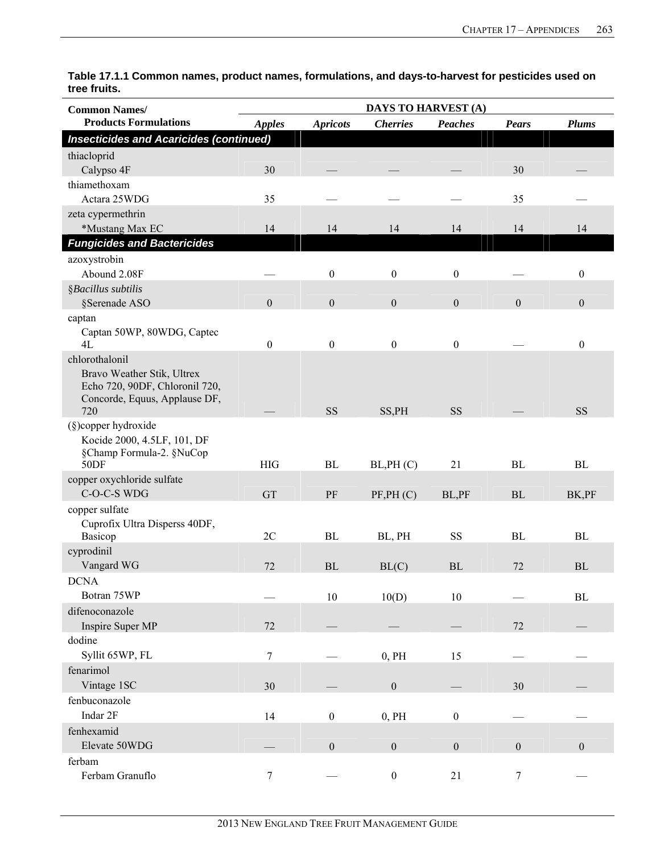| <b>Common Names/</b>                                                                                                   |                  |                  | DAYS TO HARVEST (A) |                  |                  |                  |
|------------------------------------------------------------------------------------------------------------------------|------------------|------------------|---------------------|------------------|------------------|------------------|
| <b>Products Formulations</b>                                                                                           | <b>Apples</b>    | <b>Apricots</b>  | <b>Cherries</b>     | <b>Peaches</b>   | <b>Pears</b>     | <b>Plums</b>     |
| <b>Insecticides and Acaricides (continued)</b>                                                                         |                  |                  |                     |                  |                  |                  |
| thiacloprid<br>Calypso 4F                                                                                              | 30               |                  |                     |                  | 30               |                  |
| thiamethoxam<br>Actara 25WDG                                                                                           | 35               |                  |                     |                  | 35               |                  |
| zeta cypermethrin<br>*Mustang Max EC                                                                                   | 14               | 14               | 14                  | 14               | 14               | 14               |
| <b>Fungicides and Bactericides</b>                                                                                     |                  |                  |                     |                  |                  |                  |
| azoxystrobin<br>Abound 2.08F                                                                                           |                  | $\boldsymbol{0}$ | $\boldsymbol{0}$    | $\boldsymbol{0}$ |                  | $\boldsymbol{0}$ |
| §Bacillus subtilis                                                                                                     |                  |                  |                     |                  |                  |                  |
| §Serenade ASO                                                                                                          | $\mathbf{0}$     | $\boldsymbol{0}$ | $\boldsymbol{0}$    | $\boldsymbol{0}$ | $\boldsymbol{0}$ | $\mathbf{0}$     |
| captan<br>Captan 50WP, 80WDG, Captec<br>4L                                                                             | $\boldsymbol{0}$ | $\boldsymbol{0}$ | $\boldsymbol{0}$    | $\boldsymbol{0}$ |                  | $\boldsymbol{0}$ |
| chlorothalonil<br>Bravo Weather Stik, Ultrex<br>Echo 720, 90DF, Chloronil 720,<br>Concorde, Equus, Applause DF,<br>720 |                  | <b>SS</b>        | SS, PH              | <b>SS</b>        |                  | <b>SS</b>        |
| (§)copper hydroxide<br>Kocide 2000, 4.5LF, 101, DF<br>§Champ Formula-2. §NuCop<br>50DF                                 | <b>HIG</b>       | BL               | BL,PH (C)           | 21               | BL               | BL               |
| copper oxychloride sulfate<br>C-O-C-S WDG                                                                              | GT               | PF               | PF, PH (C)          | BL,PF            | BL               | BK,PF            |
| copper sulfate<br>Cuprofix Ultra Disperss 40DF,<br>Basicop                                                             | 2C               | BL               | BL, PH              | <b>SS</b>        | $\rm BL$         | BL               |
| cyprodinil<br>Vangard WG                                                                                               | 72               | BL               | BL(C)               | BL               | 72               | BL               |
| <b>DCNA</b><br>Botran 75WP                                                                                             |                  | $10\,$           | 10(D)               | 10               |                  | $\rm BL$         |
| difenoconazole<br>Inspire Super MP                                                                                     | 72               |                  |                     |                  | 72               |                  |
| dodine<br>Syllit 65WP, FL                                                                                              | 7                |                  | 0, PH               | 15               |                  |                  |
| fenarimol<br>Vintage 1SC                                                                                               | 30               |                  | $\boldsymbol{0}$    |                  | 30               |                  |
| fenbuconazole<br>Indar 2F                                                                                              | 14               | $\boldsymbol{0}$ | 0, PH               | $\boldsymbol{0}$ |                  |                  |
| fenhexamid<br>Elevate 50WDG                                                                                            |                  | $\boldsymbol{0}$ | $\boldsymbol{0}$    | $\boldsymbol{0}$ | $\boldsymbol{0}$ | $\boldsymbol{0}$ |
| ferbam<br>Ferbam Granuflo                                                                                              | $\boldsymbol{7}$ |                  | $\boldsymbol{0}$    | $21\,$           | $\tau$           |                  |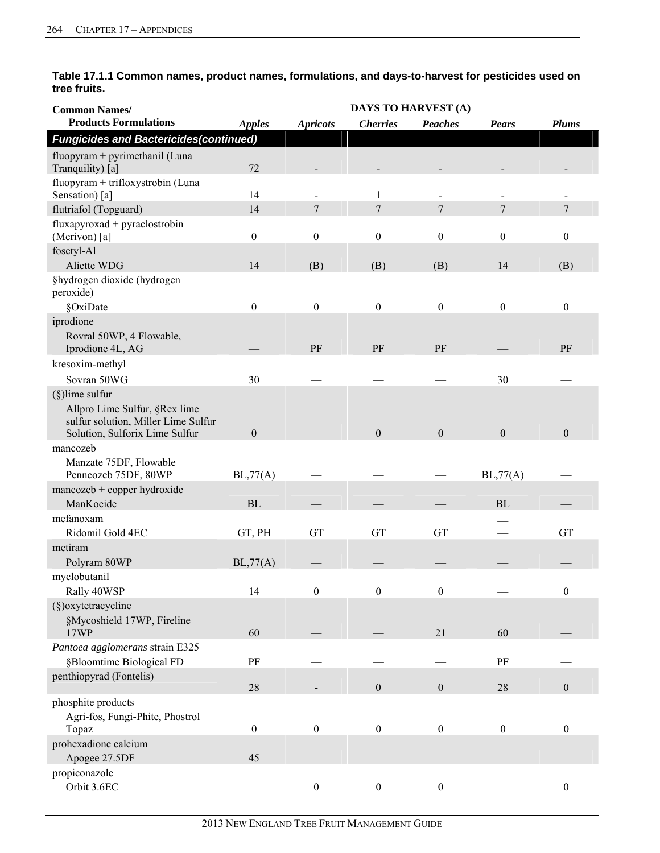| <b>Common Names/</b>                                                                                                         |                  |                  | <b>DAYS TO HARVEST (A)</b> |                  |                  |                  |
|------------------------------------------------------------------------------------------------------------------------------|------------------|------------------|----------------------------|------------------|------------------|------------------|
| <b>Products Formulations</b>                                                                                                 | <b>Apples</b>    | <b>Apricots</b>  | <b>Cherries</b>            | <b>Peaches</b>   | <b>Pears</b>     | <b>Plums</b>     |
| <b>Fungicides and Bactericides (continued)</b>                                                                               |                  |                  |                            |                  |                  |                  |
| fluopyram + pyrimethanil (Luna<br>Tranquility) [a]                                                                           | 72               |                  |                            |                  |                  |                  |
| fluopyram + trifloxystrobin (Luna<br>Sensation) [a]                                                                          | 14               |                  | 1                          |                  |                  |                  |
| flutriafol (Topguard)                                                                                                        | 14               | 7                | $\tau$                     | $\overline{7}$   | 7                | 7                |
| $flux$ apyroxad + pyraclostrobin<br>(Merivon) [a]                                                                            | $\mathbf{0}$     | $\boldsymbol{0}$ | $\boldsymbol{0}$           | $\boldsymbol{0}$ | $\mathbf{0}$     | $\boldsymbol{0}$ |
| fosetyl-Al                                                                                                                   |                  |                  |                            |                  |                  |                  |
| Aliette WDG                                                                                                                  | 14               | (B)              | (B)                        | (B)              | 14               | (B)              |
| §hydrogen dioxide (hydrogen<br>peroxide)                                                                                     |                  |                  |                            |                  |                  |                  |
| §OxiDate                                                                                                                     | $\theta$         | $\boldsymbol{0}$ | $\mathbf{0}$               | $\boldsymbol{0}$ | $\mathbf{0}$     | $\boldsymbol{0}$ |
| iprodione<br>Rovral 50WP, 4 Flowable,<br>Iprodione 4L, AG                                                                    |                  | PF               | PF                         | PF               |                  | PF               |
| kresoxim-methyl                                                                                                              |                  |                  |                            |                  |                  |                  |
| Sovran 50WG                                                                                                                  | 30               |                  |                            |                  | 30               |                  |
| $(\S)$ lime sulfur<br>Allpro Lime Sulfur, §Rex lime<br>sulfur solution, Miller Lime Sulfur<br>Solution, Sulforix Lime Sulfur | $\mathbf{0}$     |                  | $\boldsymbol{0}$           | $\boldsymbol{0}$ | $\boldsymbol{0}$ | $\mathbf{0}$     |
| mancozeb                                                                                                                     |                  |                  |                            |                  |                  |                  |
| Manzate 75DF, Flowable<br>Penncozeb 75DF, 80WP                                                                               | BL,77(A)         |                  |                            |                  | BL,77(A)         |                  |
| $mancock + copper hydroxide$                                                                                                 |                  |                  |                            |                  |                  |                  |
| ManKocide                                                                                                                    | <b>BL</b>        |                  |                            |                  | BL               |                  |
| mefanoxam                                                                                                                    |                  |                  |                            |                  |                  |                  |
| Ridomil Gold 4EC                                                                                                             | GT, PH           | GT               | GT                         | GT               |                  | <b>GT</b>        |
| metiram<br>Polyram 80WP                                                                                                      | BL,77(A)         |                  |                            |                  |                  |                  |
| myclobutanil                                                                                                                 |                  |                  |                            |                  |                  |                  |
| Rally 40WSP                                                                                                                  | 14               | $\boldsymbol{0}$ | $\boldsymbol{0}$           | $\boldsymbol{0}$ |                  | $\boldsymbol{0}$ |
| (§)oxytetracycline<br>§Mycoshield 17WP, Fireline<br>17WP                                                                     | 60               |                  |                            | 21               | 60               |                  |
| Pantoea agglomerans strain E325<br>§Bloomtime Biological FD                                                                  | PF               |                  |                            |                  | PF               |                  |
| penthiopyrad (Fontelis)                                                                                                      | 28               |                  | $\boldsymbol{0}$           | $\boldsymbol{0}$ | 28               | $\boldsymbol{0}$ |
| phosphite products                                                                                                           |                  |                  |                            |                  |                  |                  |
| Agri-fos, Fungi-Phite, Phostrol<br>Topaz                                                                                     | $\boldsymbol{0}$ | $\boldsymbol{0}$ | $\boldsymbol{0}$           | $\boldsymbol{0}$ | $\boldsymbol{0}$ | $\boldsymbol{0}$ |
| prohexadione calcium                                                                                                         |                  |                  |                            |                  |                  |                  |
| Apogee 27.5DF                                                                                                                | 45               |                  |                            |                  |                  |                  |
| propiconazole<br>Orbit 3.6EC                                                                                                 |                  | $\boldsymbol{0}$ | $\boldsymbol{0}$           | $\boldsymbol{0}$ |                  | $\boldsymbol{0}$ |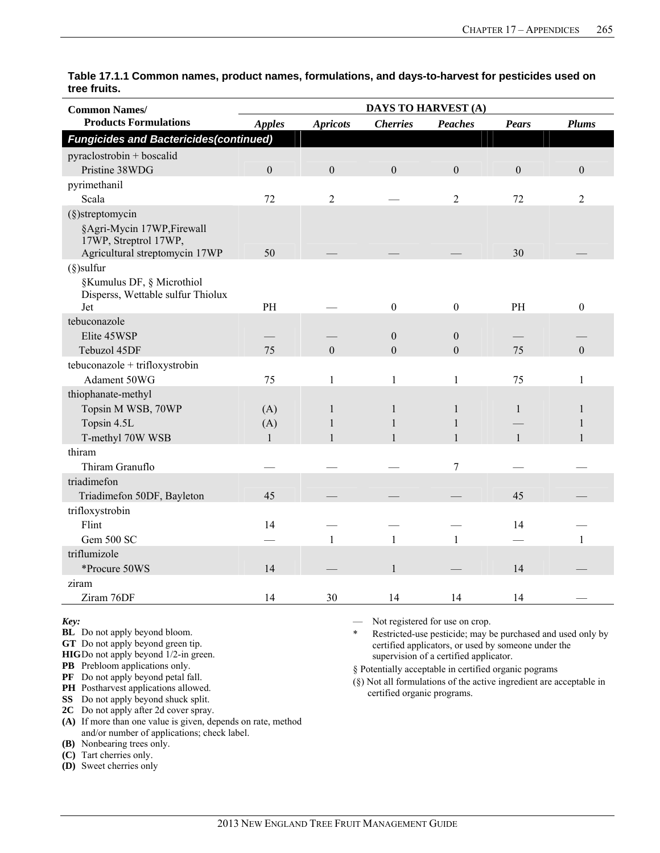| <b>Common Names/</b>                                           | DAYS TO HARVEST (A) |                 |                  |                  |                  |                |
|----------------------------------------------------------------|---------------------|-----------------|------------------|------------------|------------------|----------------|
| <b>Products Formulations</b>                                   | <b>Apples</b>       | <b>Apricots</b> | <b>Cherries</b>  | <b>Peaches</b>   | <b>Pears</b>     | <b>Plums</b>   |
| <b>Fungicides and Bactericides (continued)</b>                 |                     |                 |                  |                  |                  |                |
| pyraclostrobin + boscalid                                      |                     |                 |                  |                  |                  |                |
| Pristine 38WDG                                                 | $\mathbf{0}$        | $\mathbf{0}$    | $\mathbf{0}$     | $\boldsymbol{0}$ | $\boldsymbol{0}$ | $\mathbf{0}$   |
| pyrimethanil                                                   |                     |                 |                  |                  |                  |                |
| Scala                                                          | 72                  | $\overline{2}$  |                  | $\overline{2}$   | 72               | $\overline{2}$ |
| $(\S)$ streptomycin                                            |                     |                 |                  |                  |                  |                |
| §Agri-Mycin 17WP, Firewall<br>17WP, Streptrol 17WP,            |                     |                 |                  |                  |                  |                |
| Agricultural streptomycin 17WP                                 | 50                  |                 |                  |                  | 30               |                |
| $(\S)$ sulfur                                                  |                     |                 |                  |                  |                  |                |
| §Kumulus DF, § Microthiol<br>Disperss, Wettable sulfur Thiolux |                     |                 |                  |                  |                  |                |
| Jet                                                            | PH                  |                 | $\boldsymbol{0}$ | $\overline{0}$   | PH               | $\mathbf{0}$   |
| tebuconazole                                                   |                     |                 |                  |                  |                  |                |
| Elite 45WSP                                                    |                     |                 | $\boldsymbol{0}$ | $\boldsymbol{0}$ |                  |                |
| Tebuzol 45DF                                                   | 75                  | $\mathbf{0}$    | $\mathbf{0}$     | $\boldsymbol{0}$ | 75               | $\theta$       |
| tebuconazole + trifloxystrobin                                 |                     |                 |                  |                  |                  |                |
| Adament 50WG                                                   | 75                  | $\mathbf{1}$    | 1                | 1                | 75               | 1              |
| thiophanate-methyl                                             |                     |                 |                  |                  |                  |                |
| Topsin M WSB, 70WP                                             | (A)                 | $\mathbf{1}$    | 1                | $\mathbf{1}$     | $\mathbf{1}$     | 1              |
| Topsin 4.5L                                                    | (A)                 | 1               | 1                | $\mathbf{1}$     |                  | 1              |
| T-methyl 70W WSB                                               | 1                   |                 |                  | $\mathbf{1}$     | $\mathbf{1}$     | $\mathbf{1}$   |
| thiram                                                         |                     |                 |                  |                  |                  |                |
| Thiram Granuflo                                                |                     |                 |                  | $\overline{7}$   |                  |                |
| triadimefon                                                    |                     |                 |                  |                  |                  |                |
| Triadimefon 50DF, Bayleton                                     | 45                  |                 |                  |                  | 45               |                |
| trifloxystrobin                                                |                     |                 |                  |                  |                  |                |
| Flint                                                          | 14                  |                 |                  |                  | 14               |                |
| Gem 500 SC                                                     |                     | $\mathbf{1}$    | $\mathbf{1}$     | $\mathbf{1}$     |                  | 1              |
| triflumizole                                                   |                     |                 |                  |                  |                  |                |
| *Procure 50WS                                                  | 14                  |                 |                  |                  | 14               |                |
| ziram                                                          |                     |                 |                  |                  |                  |                |
| Ziram 76DF                                                     | 14                  | 30              | 14               | 14               | 14               |                |

#### *Key:*

**BL** Do not apply beyond bloom.

**GT** Do not apply beyond green tip.

**HIG** Do not apply beyond 1/2-in green.

**PB** Prebloom applications only.

**PF** Do not apply beyond petal fall.

**PH** Postharvest applications allowed.

**SS** Do not apply beyond shuck split.

**2C** Do not apply after 2d cover spray.

**(A)** If more than one value is given, depends on rate, method and/or number of applications; check label.

**(B)** Nonbearing trees only.

**(C)** Tart cherries only.

**(D)** Sweet cherries only

— Not registered for use on crop.

Restricted-use pesticide; may be purchased and used only by certified applicators, or used by someone under the supervision of a certified applicator.

§ Potentially acceptable in certified organic pograms

(§) Not all formulations of the active ingredient are acceptable in certified organic programs.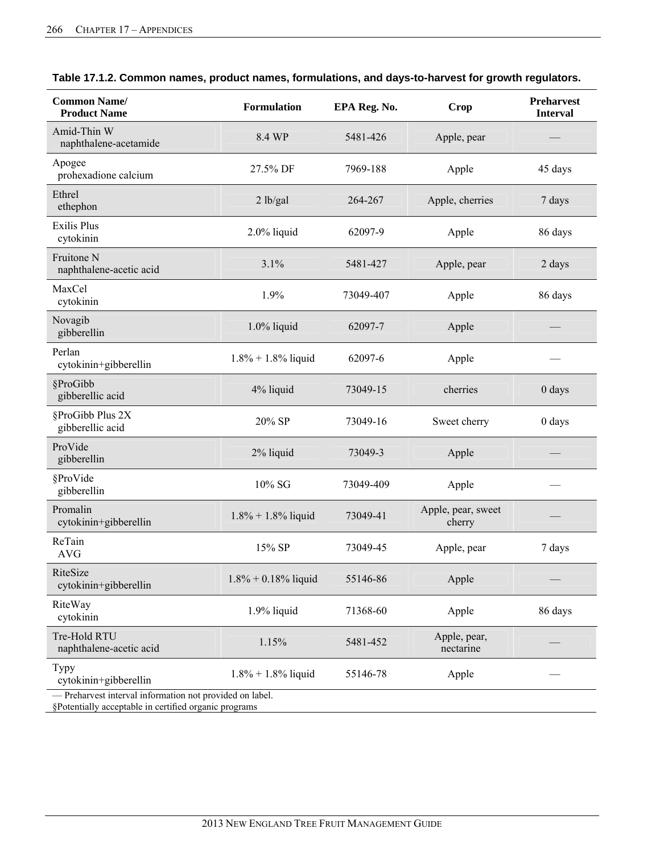| <b>Common Name/</b><br><b>Product Name</b>               | <b>Formulation</b><br>EPA Reg. No. |           | <b>Crop</b>                  | <b>Preharvest</b><br><b>Interval</b> |
|----------------------------------------------------------|------------------------------------|-----------|------------------------------|--------------------------------------|
| Amid-Thin W<br>naphthalene-acetamide                     | 8.4 WP                             | 5481-426  | Apple, pear                  |                                      |
| Apogee<br>prohexadione calcium                           | 27.5% DF                           | 7969-188  | Apple                        | 45 days                              |
| Ethrel<br>ethephon                                       | 2 lb/gal                           | 264-267   | Apple, cherries              | 7 days                               |
| <b>Exilis Plus</b><br>cytokinin                          | 2.0% liquid                        | 62097-9   | Apple                        | 86 days                              |
| Fruitone N<br>naphthalene-acetic acid                    | 3.1%                               | 5481-427  | Apple, pear                  | 2 days                               |
| MaxCel<br>cytokinin                                      | 1.9%                               | 73049-407 | Apple                        | 86 days                              |
| Novagib<br>gibberellin                                   | $1.0\%$ liquid                     | 62097-7   | Apple                        |                                      |
| Perlan<br>cytokinin+gibberellin                          | $1.8\% + 1.8\%$ liquid             | 62097-6   | Apple                        |                                      |
| §ProGibb<br>gibberellic acid                             | 4% liquid                          | 73049-15  | cherries                     | $0$ days                             |
| §ProGibb Plus 2X<br>gibberellic acid                     | 20% SP                             | 73049-16  | Sweet cherry                 | 0 days                               |
| ProVide<br>gibberellin                                   | 2% liquid                          | 73049-3   | Apple                        |                                      |
| §ProVide<br>gibberellin                                  | 10% SG                             | 73049-409 | Apple                        |                                      |
| Promalin<br>cytokinin+gibberellin                        | $1.8\% + 1.8\%$ liquid             | 73049-41  | Apple, pear, sweet<br>cherry |                                      |
| ReTain<br>AVG                                            | 15% SP                             | 73049-45  | Apple, pear                  | 7 days                               |
| RiteSize<br>cytokinin+gibberellin                        | $1.8\% + 0.18\%$ liquid            | 55146-86  | Apple                        |                                      |
| RiteWay<br>cytokinin                                     | 1.9% liquid                        | 71368-60  | Apple                        | 86 days                              |
| Tre-Hold RTU<br>naphthalene-acetic acid                  | 1.15%                              | 5481-452  | Apple, pear,<br>nectarine    |                                      |
| <b>Typy</b><br>cytokinin+gibberellin                     | $1.8\% + 1.8\%$ liquid             | 55146-78  | Apple                        |                                      |
| - Preharvest interval information not provided on label. |                                    |           |                              |                                      |

| Table 17.1.2. Common names, product names, formulations, and days-to-harvest for growth regulators. |  |  |  |
|-----------------------------------------------------------------------------------------------------|--|--|--|
|-----------------------------------------------------------------------------------------------------|--|--|--|

§Potentially acceptable in certified organic programs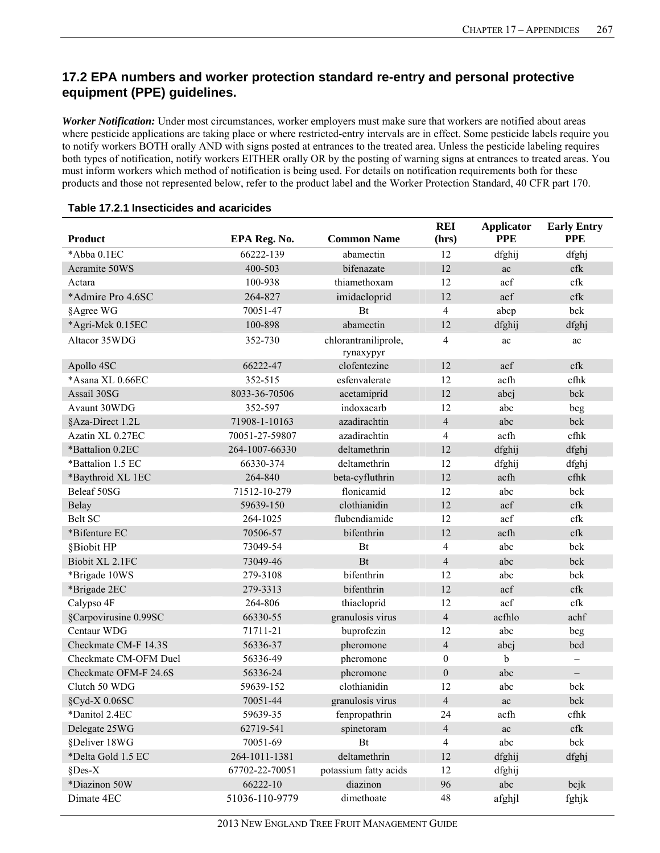## **17.2 EPA numbers and worker protection standard re-entry and personal protective equipment (PPE) guidelines.**

*Worker Notification:* Under most circumstances, worker employers must make sure that workers are notified about areas where pesticide applications are taking place or where restricted-entry intervals are in effect. Some pesticide labels require you to notify workers BOTH orally AND with signs posted at entrances to the treated area. Unless the pesticide labeling requires both types of notification, notify workers EITHER orally OR by the posting of warning signs at entrances to treated areas. You must inform workers which method of notification is being used. For details on notification requirements both for these products and those not represented below, refer to the product label and the Worker Protection Standard, 40 CFR part 170.

| <b>Product</b>        | EPA Reg. No.   | <b>Common Name</b>                | <b>REI</b><br>(hrs) | <b>Applicator</b><br><b>PPE</b> | <b>Early Entry</b><br><b>PPE</b> |
|-----------------------|----------------|-----------------------------------|---------------------|---------------------------------|----------------------------------|
| *Abba 0.1EC           | 66222-139      | abamectin                         | 12                  | dfghij                          | dfghj                            |
| Acramite 50WS         | 400-503        | bifenazate                        | 12                  | ac                              | cfk                              |
| Actara                | 100-938        | thiamethoxam                      | 12                  | acf                             | cfk                              |
| *Admire Pro 4.6SC     | 264-827        | imidacloprid                      | 12                  | acf                             | cfk                              |
| §Agree WG             | 70051-47       | Bt                                | $\overline{4}$      | abcp                            | bck                              |
| *Agri-Mek 0.15EC      | 100-898        | abamectin                         | 12                  | dfghij                          | dfghj                            |
| Altacor 35WDG         | 352-730        | chlorantraniliprole,<br>rynaxypyr | $\overline{4}$      | ac                              | ac                               |
| Apollo 4SC            | 66222-47       | clofentezine                      | 12                  | acf                             | $c$ fk                           |
| *Asana XL 0.66EC      | 352-515        | esfenvalerate                     | 12                  | acfh                            | cfhk                             |
| Assail 30SG           | 8033-36-70506  | acetamiprid                       | 12                  | abcj                            | bck                              |
| Avaunt 30WDG          | 352-597        | indoxacarb                        | 12                  | abc                             | beg                              |
| §Aza-Direct 1.2L      | 71908-1-10163  | azadirachtin                      | $\overline{4}$      | abc                             | bck                              |
| Azatin XL 0.27EC      | 70051-27-59807 | azadirachtin                      | $\overline{4}$      | acfh                            | cfhk                             |
| *Battalion 0.2EC      | 264-1007-66330 | deltamethrin                      | 12                  | dfghij                          | dfghj                            |
| *Battalion 1.5 EC     | 66330-374      | deltamethrin                      | 12                  | dfghij                          | dfghj                            |
| *Baythroid XL 1EC     | 264-840        | beta-cyfluthrin                   | 12                  | acfh                            | cfhk                             |
| Beleaf 50SG           | 71512-10-279   | flonicamid                        | 12                  | abc                             | bck                              |
| Belay                 | 59639-150      | clothianidin                      | 12                  | acf                             | cfk                              |
| <b>Belt SC</b>        | 264-1025       | flubendiamide                     | 12                  | acf                             | cfk                              |
| *Bifenture EC         | 70506-57       | bifenthrin                        | 12                  | acfh                            | $c$ fk                           |
| §Biobit HP            | 73049-54       | Bt                                | $\overline{4}$      | abc                             | bck                              |
| Biobit XL 2.1FC       | 73049-46       | Bt                                | $\overline{4}$      | abc                             | bck                              |
| *Brigade 10WS         | 279-3108       | bifenthrin                        | 12                  | abc                             | bck                              |
| *Brigade 2EC          | 279-3313       | bifenthrin                        | 12                  | acf                             | cfk                              |
| Calypso 4F            | 264-806        | thiacloprid                       | 12                  | acf                             | cfk                              |
| §Carpovirusine 0.99SC | 66330-55       | granulosis virus                  | $\overline{4}$      | acfhlo                          | achf                             |
| Centaur WDG           | 71711-21       | buprofezin                        | 12                  | abc                             | beg                              |
| Checkmate CM-F 14.3S  | 56336-37       | pheromone                         | $\overline{4}$      | abcj                            | bcd                              |
| Checkmate CM-OFM Duel | 56336-49       | pheromone                         | $\boldsymbol{0}$    | b                               |                                  |
| Checkmate OFM-F 24.6S | 56336-24       | pheromone                         | $\boldsymbol{0}$    | abc                             | $\overline{\phantom{m}}$         |
| Clutch 50 WDG         | 59639-152      | clothianidin                      | 12                  | abc                             | bck                              |
| §Cyd-X 0.06SC         | 70051-44       | granulosis virus                  | $\overline{4}$      | ac                              | bck                              |
| *Danitol 2.4EC        | 59639-35       | fenpropathrin                     | 24                  | acfh                            | cfhk                             |
| Delegate 25WG         | 62719-541      | spinetoram                        | $\overline{4}$      | $\rm ac$                        | $\operatorname{cfk}$             |
| §Deliver 18WG         | 70051-69       | Bt                                | $\overline{4}$      | abc                             | bck                              |
| *Delta Gold 1.5 EC    | 264-1011-1381  | deltamethrin                      | 12                  | dfghij                          | dfghj                            |
| §Des-X                | 67702-22-70051 | potassium fatty acids             | 12                  | dfghij                          |                                  |
| *Diazinon 50W         | 66222-10       | diazinon                          | 96                  | abc                             | bcjk                             |
| Dimate 4EC            | 51036-110-9779 | dimethoate                        | $48\,$              | afghjl                          | fghjk                            |

#### **Table 17.2.1 Insecticides and acaricides**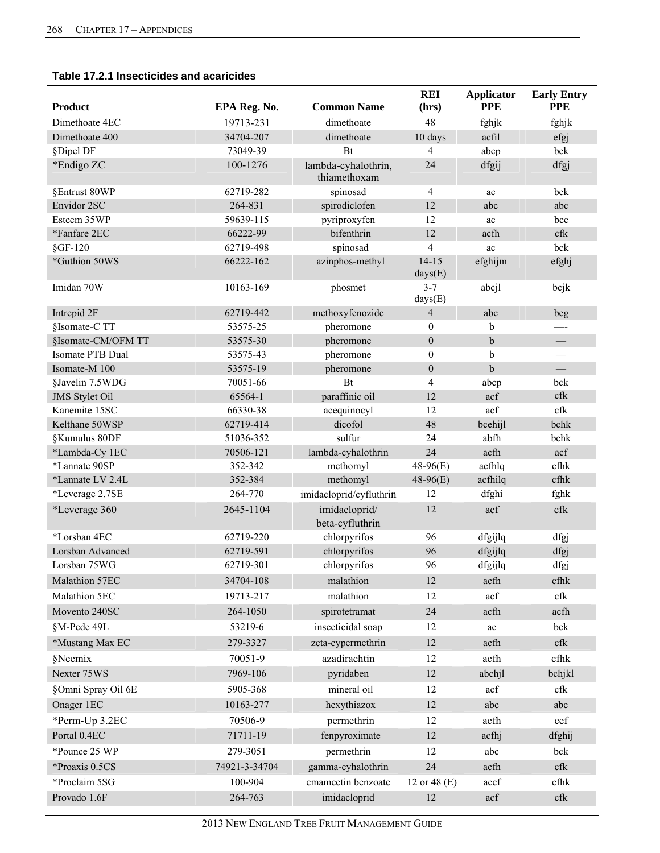#### **Table 17.2.1 Insecticides and acaricides**

| <b>Product</b>        | EPA Reg. No.  | <b>Common Name</b>                  | <b>REI</b><br>(hrs)      | <b>Applicator</b><br><b>PPE</b> | <b>Early Entry</b><br><b>PPE</b> |
|-----------------------|---------------|-------------------------------------|--------------------------|---------------------------------|----------------------------------|
| Dimethoate 4EC        | 19713-231     | dimethoate                          | 48                       | fghjk                           | fghjk                            |
| Dimethoate 400        | 34704-207     | dimethoate                          | 10 days                  | acfil                           | efgj                             |
| §Dipel DF             | 73049-39      | Bt                                  | $\overline{4}$           | abcp                            | bck                              |
| *Endigo ZC            | 100-1276      | lambda-cyhalothrin,<br>thiamethoxam | 24                       | dfgij                           | dfgj                             |
| §Entrust 80WP         | 62719-282     | spinosad                            | $\overline{4}$           | ac                              | bck                              |
| Envidor 2SC           | 264-831       | spirodiclofen                       | 12                       | abc                             | abc                              |
| Esteem 35WP           | 59639-115     | pyriproxyfen                        | 12                       | ac                              | bce                              |
| *Fanfare 2EC          | 66222-99      | bifenthrin                          | 12                       | acfh                            | cfk                              |
| $§$ GF-120            | 62719-498     | spinosad                            | $\overline{\mathcal{A}}$ | ac                              | bck                              |
| *Guthion 50WS         | 66222-162     | azinphos-methyl                     | $14 - 15$<br>days(E)     | efghijm                         | efghj                            |
| Imidan 70W            | 10163-169     | phosmet                             | $3 - 7$<br>days(E)       | abcjl                           | bcjk                             |
| Intrepid 2F           | 62719-442     | methoxyfenozide                     | $\overline{4}$           | abc                             | beg                              |
| §Isomate-C TT         | 53575-25      | pheromone                           | $\mathbf{0}$             | b                               | —-                               |
| §Isomate-CM/OFM TT    | 53575-30      | pheromone                           | $\mathbf{0}$             | $\mathbf b$                     |                                  |
| Isomate PTB Dual      | 53575-43      | pheromone                           | $\boldsymbol{0}$         | $\mathbf b$                     |                                  |
| Isomate-M 100         | 53575-19      | pheromone                           | $\boldsymbol{0}$         | $\mathbf b$                     | $\equiv$                         |
| §Javelin 7.5WDG       | 70051-66      | Bt                                  | 4                        | abcp                            | bck                              |
| <b>JMS</b> Stylet Oil | 65564-1       | paraffinic oil                      | 12                       | acf                             | cfk                              |
| Kanemite 15SC         | 66330-38      | acequinocyl                         | 12                       | acf                             | cfk                              |
| Kelthane 50WSP        | 62719-414     | dicofol                             | 48                       | bcehijl                         | bchk                             |
| §Kumulus 80DF         | 51036-352     | sulfur                              | 24                       | abfh                            | bchk                             |
| *Lambda-Cy 1EC        | 70506-121     | lambda-cyhalothrin                  | 24                       | acfh                            | acf                              |
| *Lannate 90SP         | 352-342       | methomyl                            | $48-96(E)$               | acfhlq                          | cfhk                             |
| *Lannate LV 2.4L      | 352-384       | methomyl                            | $48-96(E)$               | acfhilq                         | cfhk                             |
| *Leverage 2.7SE       | 264-770       | imidacloprid/cyfluthrin             | 12                       | dfghi                           | fghk                             |
| *Leverage 360         | 2645-1104     | imidacloprid/<br>beta-cyfluthrin    | 12                       | acf                             | cfk                              |
| *Lorsban 4EC          | 62719-220     | chlorpyrifos                        | 96                       | dfgijlq                         | dfgj                             |
| Lorsban Advanced      | 62719-591     | chlorpyrifos                        | 96                       | dfgijlq                         | dfgj                             |
| Lorsban 75WG          | 62719-301     | chlorpyrifos                        | 96                       | dfgijlq                         | dfgj                             |
| Malathion 57EC        | 34704-108     | malathion                           | 12                       | acfh                            | cfhk                             |
| Malathion 5EC         | 19713-217     | malathion                           | 12                       | acf                             | cfk                              |
| Movento 240SC         | 264-1050      | spirotetramat                       | 24                       | acfh                            | acfh                             |
| §M-Pede 49L           | 53219-6       | insecticidal soap                   | 12                       | ac                              | bck                              |
| *Mustang Max EC       | 279-3327      | zeta-cypermethrin                   | 12                       | acfh                            | cfk                              |
| §Neemix               | 70051-9       | azadirachtin                        | 12                       | acfh                            | cfhk                             |
| Nexter 75WS           | 7969-106      | pyridaben                           | 12                       | abchjl                          | bchjkl                           |
| §Omni Spray Oil 6E    | 5905-368      | mineral oil                         | 12                       | acf                             | cfk                              |
| Onager 1EC            | 10163-277     | hexythiazox                         | 12                       | abc                             | abc                              |
| *Perm-Up 3.2EC        | 70506-9       | permethrin                          | 12                       | acfh                            | cef                              |
| Portal 0.4EC          | 71711-19      | fenpyroximate                       | 12                       | acfhj                           | dfghij                           |
| *Pounce 25 WP         | 279-3051      | permethrin                          | 12                       | abc                             | bck                              |
| *Proaxis 0.5CS        |               |                                     |                          |                                 |                                  |
|                       | 74921-3-34704 | gamma-cyhalothrin                   | 24                       | acfh                            | cfk                              |
| *Proclaim 5SG         | 100-904       | emamectin benzoate                  | 12 or 48 (E)             | acef                            | cfhk                             |
| Provado 1.6F          | 264-763       | imidacloprid                        | 12                       | acf                             | cfk                              |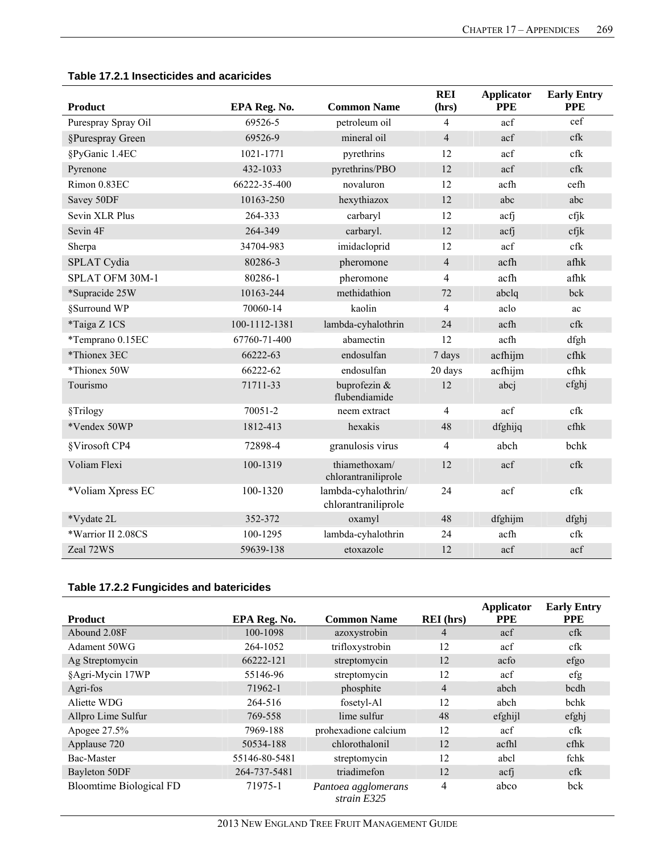| <b>Product</b>      | EPA Reg. No.  | <b>Common Name</b>                         | <b>REI</b><br>(hrs) | <b>Applicator</b><br><b>PPE</b> | <b>Early Entry</b><br><b>PPE</b> |
|---------------------|---------------|--------------------------------------------|---------------------|---------------------------------|----------------------------------|
| Purespray Spray Oil | 69526-5       | petroleum oil                              | $\overline{4}$      | acf                             | cef                              |
| §Purespray Green    | 69526-9       | mineral oil                                | $\overline{4}$      | acf                             | cfk                              |
| §PyGanic 1.4EC      | 1021-1771     | pyrethrins                                 | 12                  | acf                             | cfk                              |
| Pyrenone            | 432-1033      | pyrethrins/PBO                             | 12                  | acf                             | cfk                              |
| Rimon 0.83EC        | 66222-35-400  | novaluron                                  | 12                  | acfh                            | cefh                             |
| Savey 50DF          | 10163-250     | hexythiazox                                | 12                  | abc                             | abc                              |
| Sevin XLR Plus      | 264-333       | carbaryl                                   | 12                  | acfi                            | cfjk                             |
| Sevin 4F            | 264-349       | carbaryl.                                  | 12                  | acfi                            | cfjk                             |
| Sherpa              | 34704-983     | imidacloprid                               | 12                  | acf                             | cfk                              |
| SPLAT Cydia         | 80286-3       | pheromone                                  | $\overline{4}$      | acfh                            | afhk                             |
| SPLAT OFM 30M-1     | 80286-1       | pheromone                                  | 4                   | acfh                            | afhk                             |
| *Supracide 25W      | 10163-244     | methidathion                               | 72                  | abclq                           | bck                              |
| §Surround WP        | 70060-14      | kaolin                                     | $\overline{4}$      | aclo                            | ac                               |
| *Taiga Z 1CS        | 100-1112-1381 | lambda-cyhalothrin                         | 24                  | acfh                            | cfk                              |
| *Temprano 0.15EC    | 67760-71-400  | abamectin                                  | 12                  | acfh                            | dfgh                             |
| *Thionex 3EC        | 66222-63      | endosulfan                                 | 7 days              | acfhijm                         | cfhk                             |
| *Thionex 50W        | 66222-62      | endosulfan                                 | 20 days             | acfhijm                         | cfhk                             |
| Tourismo            | 71711-33      | buprofezin &<br>flubendiamide              | 12                  | abcj                            | cfghj                            |
| §Trilogy            | 70051-2       | neem extract                               | 4                   | acf                             | $c$ fk                           |
| *Vendex 50WP        | 1812-413      | hexakis                                    | 48                  | dfghijq                         | cfhk                             |
| §Virosoft CP4       | 72898-4       | granulosis virus                           | $\overline{4}$      | abch                            | bchk                             |
| Voliam Flexi        | 100-1319      | thiamethoxam/<br>chlorantraniliprole       | 12                  | acf                             | cfk                              |
| *Voliam Xpress EC   | 100-1320      | lambda-cyhalothrin/<br>chlorantraniliprole | 24                  | acf                             | cfk                              |
| *Vydate 2L          | 352-372       | oxamyl                                     | 48                  | dfghijm                         | dfghj                            |
| *Warrior II 2.08CS  | 100-1295      | lambda-cyhalothrin                         | 24                  | acfh                            | cfk                              |
| Zeal 72WS           | 59639-138     | etoxazole                                  | 12                  | acf                             | acf                              |

#### **Table 17.2.1 Insecticides and acaricides**

## **Table 17.2.2 Fungicides and batericides**

| <b>Product</b>                 | EPA Reg. No.  | <b>Common Name</b>                 | <b>REI</b> (hrs) | <b>Applicator</b><br><b>PPE</b> | <b>Early Entry</b><br><b>PPE</b> |
|--------------------------------|---------------|------------------------------------|------------------|---------------------------------|----------------------------------|
| Abound 2.08F                   | 100-1098      | azoxystrobin                       | $\overline{4}$   | acf                             | cfk                              |
| Adament 50WG                   | 264-1052      | trifloxystrobin                    | 12               | acf                             | cfk                              |
| Ag Streptomycin                | 66222-121     | streptomycin                       | 12               | acfo                            | efgo                             |
| §Agri-Mycin 17WP               | 55146-96      | streptomycin                       | 12               | acf                             | efg                              |
| Agri-fos                       | 71962-1       | phosphite                          | $\overline{4}$   | abch                            | bcdh                             |
| Aliette WDG                    | 264-516       | fosetyl-Al                         | 12               | abch                            | bchk                             |
| Allpro Lime Sulfur             | 769-558       | lime sulfur                        | 48               | efghijl                         | efghj                            |
| Apogee 27.5%                   | 7969-188      | prohexadione calcium               | 12               | acf                             | cfk                              |
| Applause 720                   | 50534-188     | chlorothalonil                     | 12               | acfhl                           | $cf$ h $k$                       |
| Bac-Master                     | 55146-80-5481 | streptomycin                       | 12               | abcl                            | fchk                             |
| Bayleton 50DF                  | 264-737-5481  | triadimefon                        | 12               | acfi                            | cfk                              |
| <b>Bloomtime Biological FD</b> | 71975-1       | Pantoea agglomerans<br>strain E325 | 4                | abco                            | bck                              |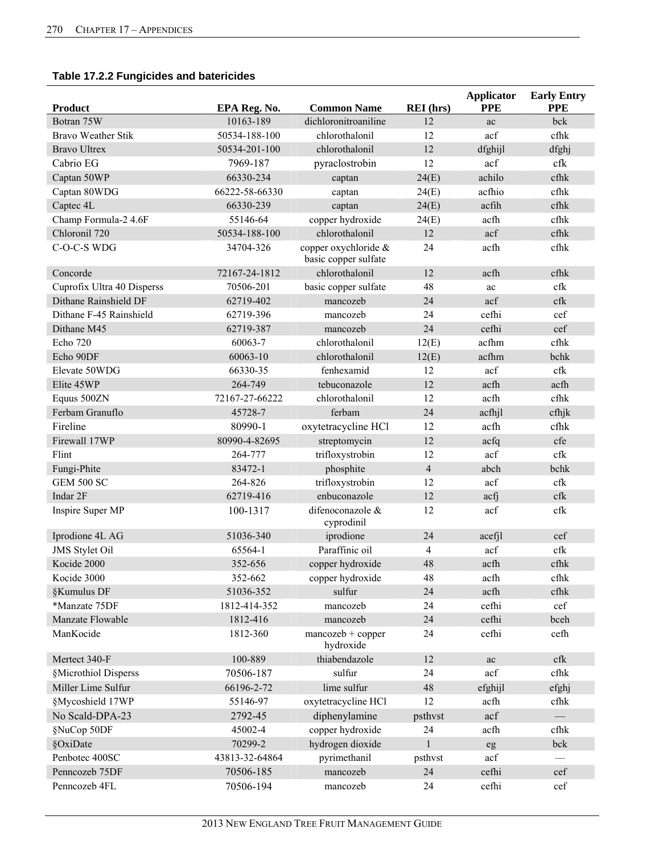## **Table 17.2.2 Fungicides and batericides**

| <b>Product</b>             | EPA Reg. No.   | <b>Common Name</b>                           | <b>REI</b> (hrs) | <b>Applicator</b><br><b>PPE</b> | <b>Early Entry</b><br><b>PPE</b> |
|----------------------------|----------------|----------------------------------------------|------------------|---------------------------------|----------------------------------|
| Botran 75W                 | 10163-189      | dichloronitroaniline                         | 12               | ac                              | bck                              |
| <b>Bravo Weather Stik</b>  | 50534-188-100  | chlorothalonil                               | 12               | acf                             | cfhk                             |
| <b>Bravo Ultrex</b>        | 50534-201-100  | chlorothalonil                               | 12               | dfghijl                         | dfghj                            |
| Cabrio EG                  | 7969-187       | pyraclostrobin                               | 12               | acf                             | cfk                              |
| Captan 50WP                | 66330-234      | captan                                       | 24(E)            | achilo                          | cfhk                             |
| Captan 80WDG               | 66222-58-66330 | captan                                       | 24(E)            | acfhio                          | cfhk                             |
| Captec 4L                  | 66330-239      | captan                                       | 24(E)            | acfih                           | cfhk                             |
| Champ Formula-2 4.6F       | 55146-64       | copper hydroxide                             | 24(E)            | acfh                            | cfhk                             |
| Chloronil 720              | 50534-188-100  | chlorothalonil                               | 12               | acf                             | cfhk                             |
| C-O-C-S WDG                | 34704-326      | copper oxychloride &<br>basic copper sulfate | 24               | acfh                            | cfhk                             |
| Concorde                   | 72167-24-1812  | chlorothalonil                               | 12               | acfh                            | cfhk                             |
| Cuprofix Ultra 40 Disperss | 70506-201      | basic copper sulfate                         | 48               | ac                              | cfk                              |
| Dithane Rainshield DF      | 62719-402      | mancozeb                                     | 24               | acf                             | cfk                              |
| Dithane F-45 Rainshield    | 62719-396      | mancozeb                                     | 24               | cefhi                           | cef                              |
| Dithane M45                | 62719-387      | mancozeb                                     | 24               | cefhi                           | cef                              |
| Echo 720                   | 60063-7        | chlorothalonil                               | 12(E)            | acfhm                           | cfhk                             |
| Echo 90DF                  | 60063-10       | chlorothalonil                               | 12(E)            | acfhm                           | bchk                             |
| Elevate 50WDG              | 66330-35       | fenhexamid                                   | 12               | acf                             | cfk                              |
| Elite 45WP                 | 264-749        | tebuconazole                                 | 12               | acfh                            | acfh                             |
| Equus 500ZN                | 72167-27-66222 | chlorothalonil                               | 12               | acfh                            | cfhk                             |
| Ferbam Granuflo            | 45728-7        | ferbam                                       | 24               | acfhjl                          | cfhjk                            |
| Fireline                   | 80990-1        | oxytetracycline HCl                          | 12               | acfh                            | cfhk                             |
| Firewall 17WP              | 80990-4-82695  | streptomycin                                 | 12               | acfq                            | cfe                              |
| Flint                      | 264-777        | trifloxystrobin                              | 12               | acf                             | cfk                              |
| Fungi-Phite                | 83472-1        | phosphite                                    | $\overline{4}$   | abch                            | bchk                             |
| <b>GEM 500 SC</b>          | 264-826        | trifloxystrobin                              | 12               | acf                             | cfk                              |
| Indar 2F                   | 62719-416      | enbuconazole                                 | 12               | acfj                            | cfk                              |
| Inspire Super MP           | 100-1317       | difenoconazole &<br>cyprodinil               | 12               | acf                             | cfk                              |
| Iprodione 4L AG            | 51036-340      | iprodione                                    | 24               | acefjl                          | cef                              |
| <b>JMS</b> Stylet Oil      | 65564-1        | Paraffinic oil                               | $\overline{4}$   | acf                             | cfk                              |
| Kocide 2000                | 352-656        | copper hydroxide                             | 48               | acfh                            | cfhk                             |
| Kocide 3000                | 352-662        | copper hydroxide                             | 48               | acfh                            | cfhk                             |
| §Kumulus DF                | 51036-352      | sulfur                                       | 24               | acfh                            | cfhk                             |
| *Manzate 75DF              | 1812-414-352   | mancozeb                                     | 24               | cefhi                           | cef                              |
| Manzate Flowable           | 1812-416       | mancozeb                                     | 24               | cefhi                           | bceh                             |
| ManKocide                  | 1812-360       | $mancock + copper$<br>hydroxide              | 24               | cefhi                           | cefh                             |
| Mertect 340-F              | 100-889        | thiabendazole                                | 12               | ac                              | cfk                              |
| §Microthiol Disperss       | 70506-187      | sulfur                                       | 24               | acf                             | cfhk                             |
| Miller Lime Sulfur         | 66196-2-72     | lime sulfur                                  | 48               | efghijl                         | efghj                            |
| §Mycoshield 17WP           | 55146-97       | oxytetracycline HCl                          | 12               | acfh                            | cfhk                             |
| No Scald-DPA-23            | 2792-45        | diphenylamine                                | psthvst          | acf                             |                                  |
| §NuCop 50DF                | 45002-4        | copper hydroxide                             | 24               | acfh                            | cfhk                             |
| §OxiDate                   | 70299-2        | hydrogen dioxide                             | $\mathbf{1}$     | eg                              | bck                              |
| Penbotec 400SC             | 43813-32-64864 | pyrimethanil                                 | psthvst          | acf                             |                                  |
| Penncozeb 75DF             | 70506-185      | mancozeb                                     | 24               | cefhi                           | cef                              |
| Penncozeb 4FL              | 70506-194      | mancozeb                                     | 24               | cefhi                           | cef                              |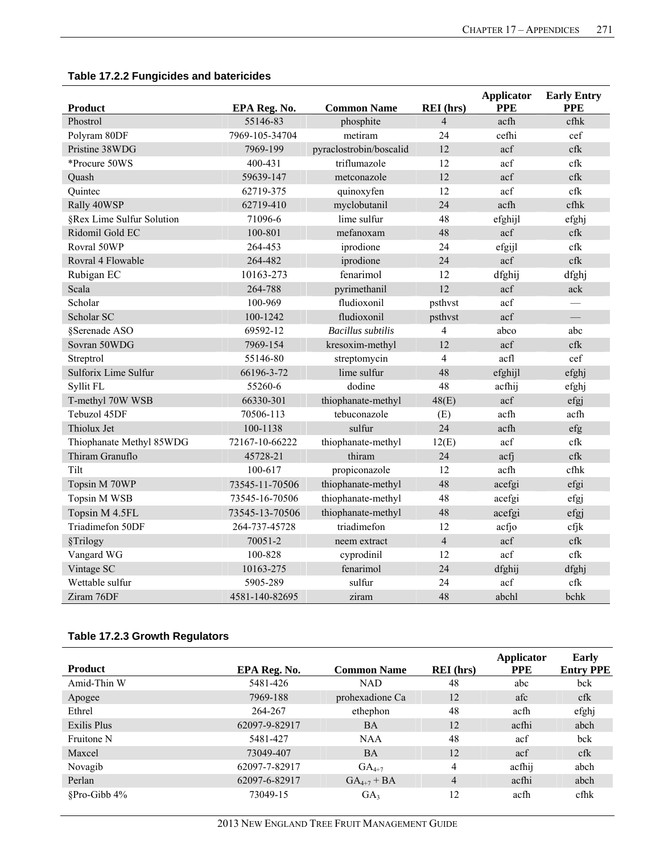| <b>Product</b>            | EPA Reg. No.   | <b>Common Name</b>       | <b>REI</b> (hrs) | <b>Applicator</b><br><b>PPE</b> | <b>Early Entry</b><br><b>PPE</b> |
|---------------------------|----------------|--------------------------|------------------|---------------------------------|----------------------------------|
| Phostrol                  | 55146-83       | phosphite                | $\overline{4}$   | acfh                            | cfhk                             |
| Polyram 80DF              | 7969-105-34704 | metiram                  | 24               | cefhi                           | cef                              |
| Pristine 38WDG            | 7969-199       | pyraclostrobin/boscalid  | 12               | acf                             | cfk                              |
| *Procure 50WS             | 400-431        | triflumazole             | 12               | acf                             | cfk                              |
| Quash                     | 59639-147      | metconazole              | 12               | acf                             | cfk                              |
| Quintec                   | 62719-375      | quinoxyfen               | 12               | acf                             | cfk                              |
| Rally 40WSP               | 62719-410      | myclobutanil             | 24               | acfh                            | cfhk                             |
| §Rex Lime Sulfur Solution | 71096-6        | lime sulfur              | 48               | efghijl                         | efghj                            |
| Ridomil Gold EC           | 100-801        | mefanoxam                | 48               | acf                             | $c$ fk                           |
| Rovral 50WP               | 264-453        | iprodione                | 24               | efgijl                          | cfk                              |
| Rovral 4 Flowable         | 264-482        | iprodione                | 24               | acf                             | cfk                              |
| Rubigan EC                | 10163-273      | fenarimol                | 12               | dfghij                          | dfghj                            |
| Scala                     | 264-788        | pyrimethanil             | 12               | acf                             | ack                              |
| Scholar                   | 100-969        | fludioxonil              | psthvst          | acf                             |                                  |
| Scholar SC                | 100-1242       | fludioxonil              | psthvst          | acf                             |                                  |
| §Serenade ASO             | 69592-12       | <b>Bacillus</b> subtilis | $\overline{4}$   | abco                            | abc                              |
| Sovran 50WDG              | 7969-154       | kresoxim-methyl          | 12               | acf                             | cfk                              |
| Streptrol                 | 55146-80       | streptomycin             | $\overline{4}$   | acfl                            | cef                              |
| Sulforix Lime Sulfur      | 66196-3-72     | lime sulfur              | 48               | efghijl                         | efghj                            |
| Syllit FL                 | 55260-6        | dodine                   | 48               | acfhij                          | efghj                            |
| T-methyl 70W WSB          | 66330-301      | thiophanate-methyl       | 48(E)            | acf                             | efgj                             |
| Tebuzol 45DF              | 70506-113      | tebuconazole             | (E)              | acfh                            | acfh                             |
| Thiolux Jet               | 100-1138       | sulfur                   | 24               | acfh                            | efg                              |
| Thiophanate Methyl 85WDG  | 72167-10-66222 | thiophanate-methyl       | 12(E)            | acf                             | cfk                              |
| Thiram Granuflo           | 45728-21       | thiram                   | 24               | acfi                            | cfk                              |
| Tilt                      | 100-617        | propiconazole            | 12               | acfh                            | cfhk                             |
| Topsin M 70WP             | 73545-11-70506 | thiophanate-methyl       | 48               | acefgi                          | efgi                             |
| Topsin M WSB              | 73545-16-70506 | thiophanate-methyl       | 48               | acefgi                          | efgj                             |
| Topsin M 4.5FL            | 73545-13-70506 | thiophanate-methyl       | 48               | acefgi                          | efgj                             |
| Triadimefon 50DF          | 264-737-45728  | triadimefon              | 12               | acfjo                           | cfjk                             |
| §Trilogy                  | 70051-2        | neem extract             | $\overline{4}$   | acf                             | cfk                              |
| Vangard WG                | 100-828        | cyprodinil               | 12               | acf                             | cfk                              |
| Vintage SC                | 10163-275      | fenarimol                | 24               | dfghij                          | dfghj                            |
| Wettable sulfur           | 5905-289       | sulfur                   | 24               | acf                             | cfk                              |
| Ziram 76DF                | 4581-140-82695 | ziram                    | 48               | abchl                           | bchk                             |

## **Table 17.2.2 Fungicides and batericides**

## **Table 17.2.3 Growth Regulators**

| <b>Product</b>  | EPA Reg. No.  | <b>Common Name</b> | <b>REI</b> (hrs) | Applicator<br><b>PPE</b> | <b>Early</b><br><b>Entry PPE</b> |
|-----------------|---------------|--------------------|------------------|--------------------------|----------------------------------|
| Amid-Thin W     | 5481-426      | <b>NAD</b>         | 48               | abc                      | bck                              |
| Apogee          | 7969-188      | prohexadione Ca    | 12               | afc                      | cfk                              |
| Ethrel          | 264-267       | ethephon           | 48               | acfh                     | efghj                            |
| Exilis Plus     | 62097-9-82917 | <b>BA</b>          | 12               | acfhi                    | abch                             |
| Fruitone N      | 5481-427      | <b>NAA</b>         | 48               | acf                      | bck                              |
| Maxcel          | 73049-407     | <b>BA</b>          | 12               | acf                      | cfk                              |
| Novagib         | 62097-7-82917 | $GA_{4+7}$         | 4                | acfhij                   | abch                             |
| Perlan          | 62097-6-82917 | $GA_{4+7} + BA$    | $\overline{4}$   | acfhi                    | abch                             |
| $$Pro-Gibb 4\%$ | 73049-15      | GA <sub>3</sub>    | 12               | acfh                     | cfhk                             |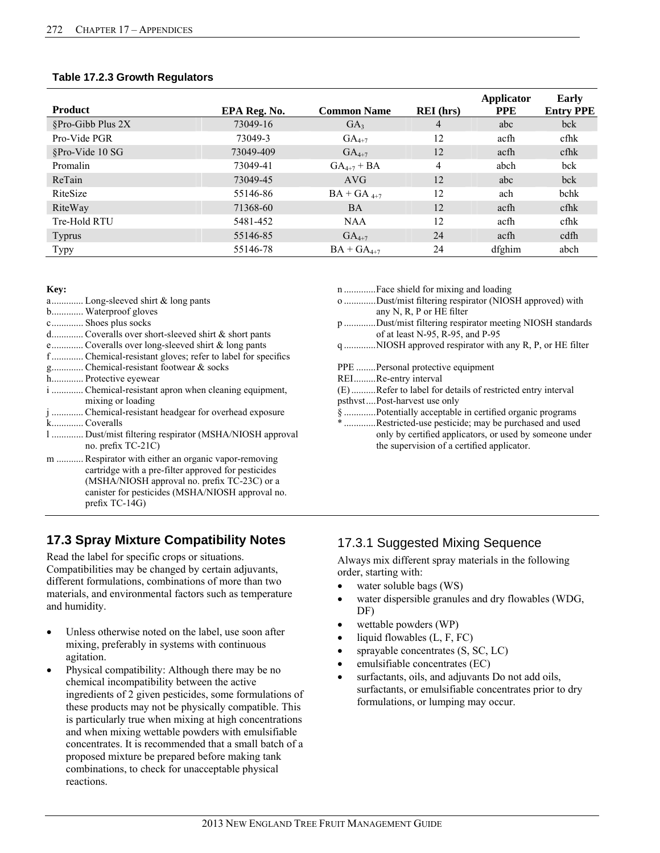#### **Table 17.2.3 Growth Regulators**

| <b>Product</b>    | EPA Reg. No. | <b>Common Name</b>       | <b>REI</b> (hrs) | Applicator<br><b>PPE</b> | <b>Early</b><br><b>Entry PPE</b> |
|-------------------|--------------|--------------------------|------------------|--------------------------|----------------------------------|
| §Pro-Gibb Plus 2X | 73049-16     | GA <sub>3</sub>          | 4                | abc                      | bck                              |
| Pro-Vide PGR      | 73049-3      | $GA_{4+7}$               | 12               | acfh                     | cfhk                             |
| §Pro-Vide 10 SG   | 73049-409    | $GA_{4+7}$               | 12               | acfh                     | $cf$ h $k$                       |
| Promalin          | 73049-41     | $GA_{4+7} + BA$          | 4                | abch                     | bck                              |
| ReTain            | 73049-45     | AVG                      | 12               | abc                      | bck                              |
| RiteSize          | 55146-86     | $BA + GA$ <sub>4+7</sub> | 12               | ach                      | bchk                             |
| RiteWay           | 71368-60     | <b>BA</b>                | 12               | acfh                     | $cf$ h $k$                       |
| Tre-Hold RTU      | 5481-452     | <b>NAA</b>               | 12               | acfh                     | cfhk                             |
| <b>Typrus</b>     | 55146-85     | $GA_{4+7}$               | 24               | acfh                     | cdfh                             |
| <b>Typy</b>       | 55146-78     | $BA + GA_{4+7}$          | 24               | dfghim                   | abch                             |

#### **Key:**

- a ............. Long-sleeved shirt & long pants
- b............. Waterproof gloves
- c ............. Shoes plus socks
- d ............. Coveralls over short-sleeved shirt & short pants
- e ............. Coveralls over long-sleeved shirt & long pants
- f ............. Chemical-resistant gloves; refer to label for specifics
- g............. Chemical-resistant footwear & socks
- h............. Protective eyewear
- i ............. Chemical-resistant apron when cleaning equipment, mixing or loading
- j ............. Chemical-resistant headgear for overhead exposure k ............. Coveralls
- l ............. Dust/mist filtering respirator (MSHA/NIOSH approval no. prefix TC-21C)
- m ........... Respirator with either an organic vapor-removing cartridge with a pre-filter approved for pesticides (MSHA/NIOSH approval no. prefix TC-23C) or a canister for pesticides (MSHA/NIOSH approval no. prefix TC-14G)

## **17.3 Spray Mixture Compatibility Notes**

Read the label for specific crops or situations. Compatibilities may be changed by certain adjuvants, different formulations, combinations of more than two materials, and environmental factors such as temperature and humidity.

- Unless otherwise noted on the label, use soon after mixing, preferably in systems with continuous agitation.
- Physical compatibility: Although there may be no chemical incompatibility between the active ingredients of 2 given pesticides, some formulations of these products may not be physically compatible. This is particularly true when mixing at high concentrations and when mixing wettable powders with emulsifiable concentrates. It is recommended that a small batch of a proposed mixture be prepared before making tank combinations, to check for unacceptable physical reactions.
- n ............. Face shield for mixing and loading
- o ............. Dust/mist filtering respirator (NIOSH approved) with any N, R, P or HE filter
- p ............. Dust/mist filtering respirator meeting NIOSH standards of at least N-95, R-95, and P-95
- q ............. NIOSH approved respirator with any R, P, or HE filter

PPE ........ Personal protective equipment

- REI.........Re-entry interval
- (E) .......... Refer to label for details of restricted entry interval
- psthvst .... Post-harvest use only
- § ............. Potentially acceptable in certified organic programs
- \* ............. Restricted-use pesticide; may be purchased and used only by certified applicators, or used by someone under the supervision of a certified applicator.

## 17.3.1 Suggested Mixing Sequence

Always mix different spray materials in the following order, starting with:

- water soluble bags (WS)
- water dispersible granules and dry flowables (WDG, DF)
- wettable powders (WP)
- liquid flowables (L, F, FC)
- sprayable concentrates (S, SC, LC)
- emulsifiable concentrates (EC)
- surfactants, oils, and adjuvants Do not add oils, surfactants, or emulsifiable concentrates prior to dry formulations, or lumping may occur.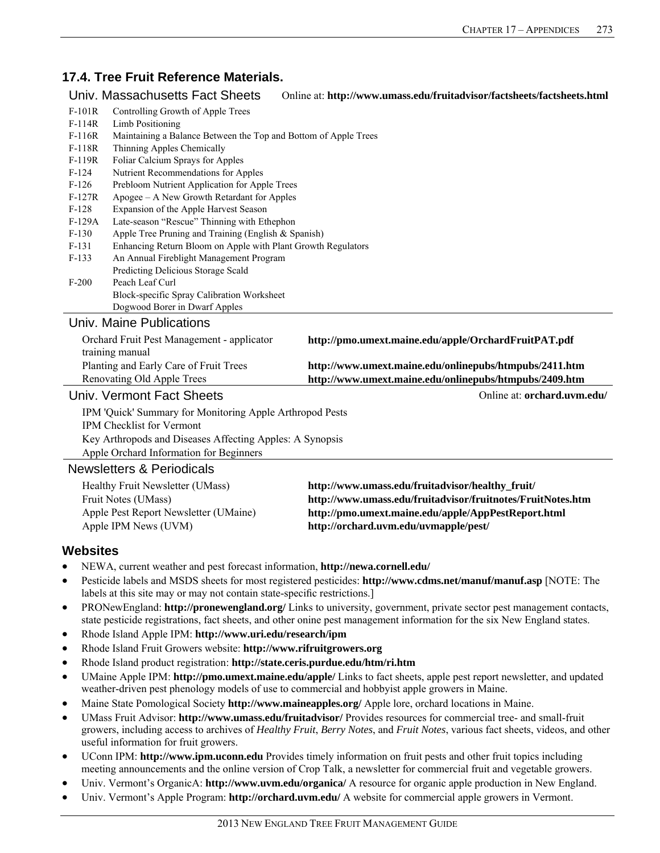## **17.4. Tree Fruit Reference Materials.**

#### Univ. Massachusetts Fact Sheets Online at: **http://www.umass.edu/fruitadvisor/factsheets/factsheets.html**

|                                                          | Univ. Massachusetts Fact Sheets                                 | Online at: http://www.umass.edu/fruitadvisor/factsheets/factsheets.html |  |  |
|----------------------------------------------------------|-----------------------------------------------------------------|-------------------------------------------------------------------------|--|--|
| $F-101R$                                                 | Controlling Growth of Apple Trees                               |                                                                         |  |  |
| $F-114R$                                                 | Limb Positioning                                                |                                                                         |  |  |
| $F-116R$                                                 | Maintaining a Balance Between the Top and Bottom of Apple Trees |                                                                         |  |  |
| F-118R                                                   | Thinning Apples Chemically                                      |                                                                         |  |  |
| $F-119R$                                                 | Foliar Calcium Sprays for Apples                                |                                                                         |  |  |
| $F-124$                                                  | Nutrient Recommendations for Apples                             |                                                                         |  |  |
| $F-126$                                                  | Prebloom Nutrient Application for Apple Trees                   |                                                                         |  |  |
| $F-127R$                                                 | Apogee – A New Growth Retardant for Apples                      |                                                                         |  |  |
| $F-128$                                                  | Expansion of the Apple Harvest Season                           |                                                                         |  |  |
| $F-129A$                                                 | Late-season "Rescue" Thinning with Ethephon                     |                                                                         |  |  |
| $F-130$                                                  | Apple Tree Pruning and Training (English & Spanish)             |                                                                         |  |  |
| $F-131$                                                  | Enhancing Return Bloom on Apple with Plant Growth Regulators    |                                                                         |  |  |
| $F-133$                                                  | An Annual Fireblight Management Program                         |                                                                         |  |  |
|                                                          | Predicting Delicious Storage Scald                              |                                                                         |  |  |
| $F-200$                                                  | Peach Leaf Curl                                                 |                                                                         |  |  |
|                                                          | Block-specific Spray Calibration Worksheet                      |                                                                         |  |  |
|                                                          | Dogwood Borer in Dwarf Apples                                   |                                                                         |  |  |
|                                                          | Univ. Maine Publications                                        |                                                                         |  |  |
|                                                          | Orchard Fruit Pest Management - applicator                      | http://pmo.umext.maine.edu/apple/OrchardFruitPAT.pdf                    |  |  |
|                                                          | training manual                                                 |                                                                         |  |  |
|                                                          | Planting and Early Care of Fruit Trees                          | http://www.umext.maine.edu/onlinepubs/htmpubs/2411.htm                  |  |  |
|                                                          | Renovating Old Apple Trees                                      | http://www.umext.maine.edu/onlinepubs/htmpubs/2409.htm                  |  |  |
|                                                          | Univ. Vermont Fact Sheets                                       | Online at: orchard.uvm.edu/                                             |  |  |
|                                                          | IPM 'Quick' Summary for Monitoring Apple Arthropod Pests        |                                                                         |  |  |
| IPM Checklist for Vermont                                |                                                                 |                                                                         |  |  |
| Key Arthropods and Diseases Affecting Apples: A Synopsis |                                                                 |                                                                         |  |  |
| Apple Orchard Information for Beginners                  |                                                                 |                                                                         |  |  |
|                                                          | Nowelattore & Poriodicale                                       |                                                                         |  |  |

#### Newsletters & Periodicals

| Healthy Fruit Newsletter (UMass)      | http://www.umass.edu/fruitadvisor/healthy_fruit/            |
|---------------------------------------|-------------------------------------------------------------|
| Fruit Notes (UMass)                   | http://www.umass.edu/fruitadvisor/fruitnotes/FruitNotes.htm |
| Apple Pest Report Newsletter (UMaine) | http://pmo.umext.maine.edu/apple/AppPestReport.html         |
| Apple IPM News (UVM)                  | http://orchard.uvm.edu/uvmapple/pest/                       |

### **Websites**

- NEWA, current weather and pest forecast information, **http://newa.cornell.edu/**
- Pesticide labels and MSDS sheets for most registered pesticides: **http://www.cdms.net/manuf/manuf.asp** [NOTE: The labels at this site may or may not contain state-specific restrictions.]
- PRONewEngland: **http://pronewengland.org/** Links to university, government, private sector pest management contacts, state pesticide registrations, fact sheets, and other onine pest management information for the six New England states.
- Rhode Island Apple IPM: **http://www.uri.edu/research/ipm**
- Rhode Island Fruit Growers website: **http://www.rifruitgrowers.org**
- Rhode Island product registration: **http://state.ceris.purdue.edu/htm/ri.htm**
- UMaine Apple IPM: **http://pmo.umext.maine.edu/apple/** Links to fact sheets, apple pest report newsletter, and updated weather-driven pest phenology models of use to commercial and hobbyist apple growers in Maine.
- Maine State Pomological Society **http://www.maineapples.org/** Apple lore, orchard locations in Maine.
- UMass Fruit Advisor: **http://www.umass.edu/fruitadvisor/** Provides resources for commercial tree- and small-fruit growers, including access to archives of *Healthy Fruit*, *Berry Notes*, and *Fruit Notes*, various fact sheets, videos, and other useful information for fruit growers.
- UConn IPM: **http://www.ipm.uconn.edu** Provides timely information on fruit pests and other fruit topics including meeting announcements and the online version of Crop Talk, a newsletter for commercial fruit and vegetable growers.
- Univ. Vermont's OrganicA: **http://www.uvm.edu/organica/** A resource for organic apple production in New England.
- Univ. Vermont's Apple Program: **http://orchard.uvm.edu/** A website for commercial apple growers in Vermont.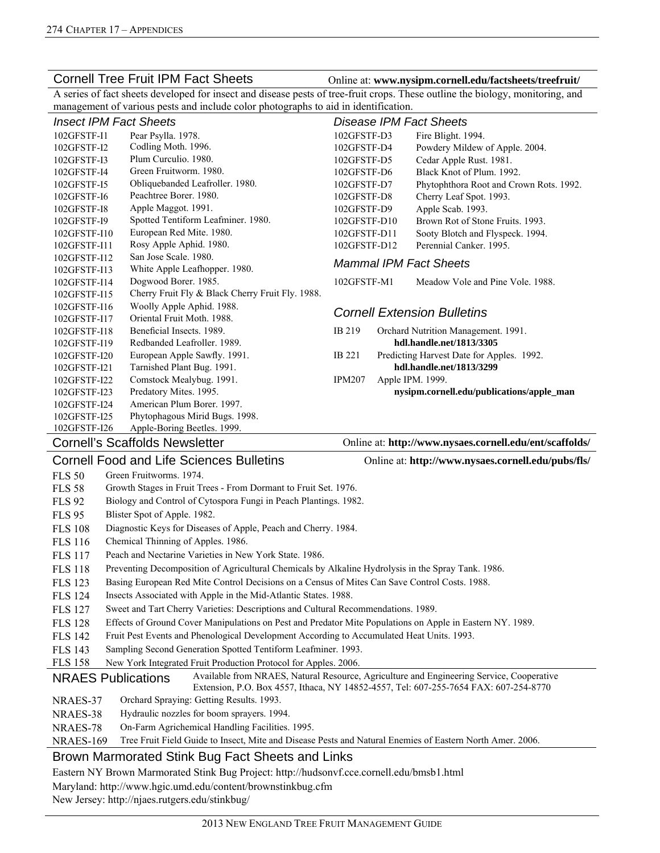Cornell Tree Fruit IPM Fact Sheets **Online at:** www.nysipm.cornell.edu/factsheets/treefruit/

A series of fact sheets developed for insect and disease pests of tree-fruit crops. These outline the biology, monitoring, and management of various pests and include color photographs to aid in identification.

| <b>Insect IPM Fact Sheets</b> |                                                  |                               |  | Disease IPM Fact Sheets                   |
|-------------------------------|--------------------------------------------------|-------------------------------|--|-------------------------------------------|
| 102GFSTF-I1                   | Pear Psylla. 1978.                               | 102GFSTF-D3                   |  | Fire Blight. 1994.                        |
| 102GFSTF-I2                   | Codling Moth. 1996.                              | 102GFSTF-D4                   |  | Powdery Mildew of Apple. 2004.            |
| 102GFSTF-I3                   | Plum Curculio. 1980.                             | 102GFSTF-D5                   |  | Cedar Apple Rust. 1981.                   |
| 102GFSTF-I4                   | Green Fruitworm, 1980.                           | 102GFSTF-D6                   |  | Black Knot of Plum. 1992.                 |
| 102GFSTF-I5                   | Obliquebanded Leafroller. 1980.                  | 102GFSTF-D7                   |  | Phytophthora Root and Crown Rots. 1992.   |
| 102GFSTF-I6                   | Peachtree Borer, 1980.                           | 102GFSTF-D8                   |  | Cherry Leaf Spot. 1993.                   |
| 102GFSTF-I8                   | Apple Maggot. 1991.                              | 102GFSTF-D9                   |  | Apple Scab. 1993.                         |
| 102GFSTF-I9                   | Spotted Tentiform Leafminer. 1980.               | 102GFSTF-D10                  |  | Brown Rot of Stone Fruits, 1993.          |
| 102GFSTF-I10                  | European Red Mite. 1980.                         | 102GFSTF-D11                  |  | Sooty Blotch and Flyspeck. 1994.          |
| 102GFSTF-I11                  | Rosy Apple Aphid. 1980.                          | 102GFSTF-D12                  |  | Perennial Canker, 1995.                   |
| 102GFSTF-I12                  | San Jose Scale, 1980.                            |                               |  |                                           |
| 102GFSTF-I13                  | White Apple Leafhopper. 1980.                    | <b>Mammal IPM Fact Sheets</b> |  |                                           |
| 102GFSTF-I14                  | Dogwood Borer. 1985.                             | 102GFSTF-M1                   |  | Meadow Vole and Pine Vole, 1988.          |
| 102GFSTF-I15                  | Cherry Fruit Fly & Black Cherry Fruit Fly. 1988. |                               |  |                                           |
| 102GFSTF-I16                  | Woolly Apple Aphid. 1988.                        |                               |  | <b>Cornell Extension Bulletins</b>        |
| 102GFSTF-I17                  | Oriental Fruit Moth, 1988.                       |                               |  |                                           |
| 102GFSTF-I18                  | Beneficial Insects, 1989.                        | IB 219                        |  | Orchard Nutrition Management. 1991.       |
| 102GFSTF-I19                  | Redbanded Leafroller, 1989.                      |                               |  | hdl.handle.net/1813/3305                  |
| 102GFSTF-I20                  | European Apple Sawfly. 1991.                     | IB 221                        |  | Predicting Harvest Date for Apples. 1992. |
| 102GFSTF-I21                  | Tarnished Plant Bug. 1991.                       |                               |  | hdl.handle.net/1813/3299                  |
| 102GFSTF-I22                  | Comstock Mealybug. 1991.                         | <b>IPM207</b>                 |  | Apple IPM. 1999.                          |
| 102GFSTF-I23                  | Predatory Mites. 1995.                           |                               |  | nysipm.cornell.edu/publications/apple_man |
| 102GFSTF-I24                  | American Plum Borer, 1997.                       |                               |  |                                           |
| 102GFSTF-I25                  | Phytophagous Mirid Bugs. 1998.                   |                               |  |                                           |
| 102GFSTF-I26                  | Apple-Boring Beetles. 1999.                      |                               |  |                                           |

Cornell's Scaffolds Newsletter **Online at:** http://www.nysaes.cornell.edu/ent/scaffolds/

|                | <b>Cornell Food and Life Sciences Bulletins</b>                                                           | Online at: http://www.nysaes.cornell.edu/pubs/fls/                                       |
|----------------|-----------------------------------------------------------------------------------------------------------|------------------------------------------------------------------------------------------|
| <b>FLS 50</b>  | Green Fruitworms, 1974.                                                                                   |                                                                                          |
| <b>FLS 58</b>  | Growth Stages in Fruit Trees - From Dormant to Fruit Set. 1976.                                           |                                                                                          |
| <b>FLS 92</b>  | Biology and Control of Cytospora Fungi in Peach Plantings. 1982.                                          |                                                                                          |
| <b>FLS 95</b>  | Blister Spot of Apple. 1982.                                                                              |                                                                                          |
| <b>FLS 108</b> | Diagnostic Keys for Diseases of Apple, Peach and Cherry. 1984.                                            |                                                                                          |
| <b>FLS 116</b> | Chemical Thinning of Apples. 1986.                                                                        |                                                                                          |
| <b>FLS 117</b> | Peach and Nectarine Varieties in New York State, 1986.                                                    |                                                                                          |
| <b>FLS 118</b> | Preventing Decomposition of Agricultural Chemicals by Alkaline Hydrolysis in the Spray Tank. 1986.        |                                                                                          |
| <b>FLS</b> 123 | Basing European Red Mite Control Decisions on a Census of Mites Can Save Control Costs. 1988.             |                                                                                          |
| <b>FLS</b> 124 | Insects Associated with Apple in the Mid-Atlantic States. 1988.                                           |                                                                                          |
| <b>FLS</b> 127 | Sweet and Tart Cherry Varieties: Descriptions and Cultural Recommendations. 1989.                         |                                                                                          |
| <b>FLS</b> 128 | Effects of Ground Cover Manipulations on Pest and Predator Mite Populations on Apple in Eastern NY. 1989. |                                                                                          |
| <b>FLS 142</b> | Fruit Pest Events and Phenological Development According to Accumulated Heat Units. 1993.                 |                                                                                          |
| <b>FLS</b> 143 | Sampling Second Generation Spotted Tentiform Leafminer. 1993.                                             |                                                                                          |
| <b>FLS 158</b> | New York Integrated Fruit Production Protocol for Apples. 2006.                                           |                                                                                          |
|                | <b>NRAES</b> Publications                                                                                 | Available from NRAES, Natural Resource, Agriculture and Engineering Service, Cooperative |

NRAES Publications Available from NRAES, Natural Resource, Agriculture and Engineering Service, Cooperative Extension, P.O. Box 4557, Ithaca, NY 14852-4557, Tel: 607-255-7654 FAX: 607-254-8770

NRAES-37 Orchard Spraying: Getting Results. 1993.

NRAES-38 Hydraulic nozzles for boom sprayers. 1994.

NRAES-78 On-Farm Agrichemical Handling Facilities. 1995.

NRAES-169 Tree Fruit Field Guide to Insect, Mite and Disease Pests and Natural Enemies of Eastern North Amer. 2006.

#### Brown Marmorated Stink Bug Fact Sheets and Links

Eastern NY Brown Marmorated Stink Bug Project: http://hudsonvf.cce.cornell.edu/bmsb1.html

Maryland: http://www.hgic.umd.edu/content/brownstinkbug.cfm

New Jersey: http://njaes.rutgers.edu/stinkbug/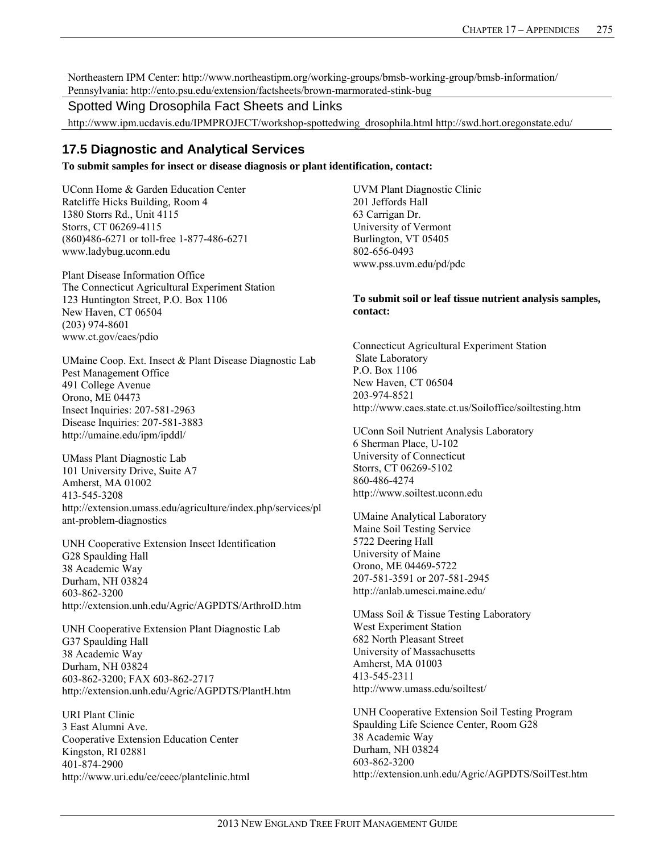Northeastern IPM Center: http://www.northeastipm.org/working-groups/bmsb-working-group/bmsb-information/ Pennsylvania: http://ento.psu.edu/extension/factsheets/brown-marmorated-stink-bug

#### Spotted Wing Drosophila Fact Sheets and Links

http://www.ipm.ucdavis.edu/IPMPROJECT/workshop-spottedwing\_drosophila.html http://swd.hort.oregonstate.edu/

## **17.5 Diagnostic and Analytical Services**

**To submit samples for insect or disease diagnosis or plant identification, contact:** 

UConn Home & Garden Education Center Ratcliffe Hicks Building, Room 4 1380 Storrs Rd., Unit 4115 Storrs, CT 06269-4115 (860)486-6271 or toll-free 1-877-486-6271 www.ladybug.uconn.edu

Plant Disease Information Office The Connecticut Agricultural Experiment Station 123 Huntington Street, P.O. Box 1106 New Haven, CT 06504 (203) 974-8601 www.ct.gov/caes/pdio

UMaine Coop. Ext. Insect & Plant Disease Diagnostic Lab Pest Management Office 491 College Avenue Orono, ME 04473 Insect Inquiries: 207-581-2963 Disease Inquiries: 207-581-3883 http://umaine.edu/ipm/ipddl/

UMass Plant Diagnostic Lab 101 University Drive, Suite A7 Amherst, MA 01002 413-545-3208 http://extension.umass.edu/agriculture/index.php/services/pl ant-problem-diagnostics

UNH Cooperative Extension Insect Identification G28 Spaulding Hall 38 Academic Way Durham, NH 03824 603-862-3200 http://extension.unh.edu/Agric/AGPDTS/ArthroID.htm

UNH Cooperative Extension Plant Diagnostic Lab G37 Spaulding Hall 38 Academic Way Durham, NH 03824 603-862-3200; FAX 603-862-2717 http://extension.unh.edu/Agric/AGPDTS/PlantH.htm

URI Plant Clinic 3 East Alumni Ave. Cooperative Extension Education Center Kingston, RI 02881 401-874-2900 http://www.uri.edu/ce/ceec/plantclinic.html UVM Plant Diagnostic Clinic 201 Jeffords Hall 63 Carrigan Dr. University of Vermont Burlington, VT 05405 802-656-0493 www.pss.uvm.edu/pd/pdc

#### **To submit soil or leaf tissue nutrient analysis samples, contact:**

Connecticut Agricultural Experiment Station Slate Laboratory P.O. Box 1106 New Haven, CT 06504 203-974-8521 http://www.caes.state.ct.us/Soiloffice/soiltesting.htm

UConn Soil Nutrient Analysis Laboratory 6 Sherman Place, U-102 University of Connecticut Storrs, CT 06269-5102 860-486-4274 http://www.soiltest.uconn.edu

UMaine Analytical Laboratory Maine Soil Testing Service 5722 Deering Hall University of Maine Orono, ME 04469-5722 207-581-3591 or 207-581-2945 http://anlab.umesci.maine.edu/

UMass Soil & Tissue Testing Laboratory West Experiment Station 682 North Pleasant Street University of Massachusetts Amherst, MA 01003 413-545-2311 http://www.umass.edu/soiltest/

UNH Cooperative Extension Soil Testing Program Spaulding Life Science Center, Room G28 38 Academic Way Durham, NH 03824 603-862-3200 http://extension.unh.edu/Agric/AGPDTS/SoilTest.htm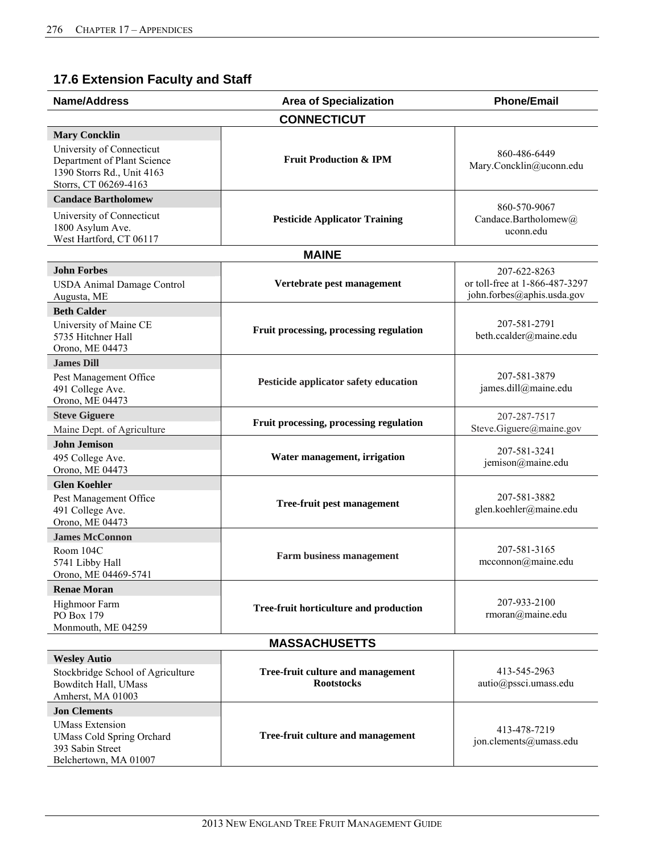# **17.6 Extension Faculty and Staff**

| <b>Name/Address</b>                                                                                                                     | <b>Area of Specialization</b>                          | <b>Phone/Email</b>                                                           |
|-----------------------------------------------------------------------------------------------------------------------------------------|--------------------------------------------------------|------------------------------------------------------------------------------|
|                                                                                                                                         | <b>CONNECTICUT</b>                                     |                                                                              |
| <b>Mary Concklin</b><br>University of Connecticut<br>Department of Plant Science<br>1390 Storrs Rd., Unit 4163<br>Storrs, CT 06269-4163 | <b>Fruit Production &amp; IPM</b>                      | 860-486-6449<br>Mary.Concklin@uconn.edu                                      |
| <b>Candace Bartholomew</b>                                                                                                              |                                                        |                                                                              |
| University of Connecticut<br>1800 Asylum Ave.<br>West Hartford, CT 06117                                                                | <b>Pesticide Applicator Training</b>                   | 860-570-9067<br>Candace.Bartholomew@<br>uconn.edu                            |
|                                                                                                                                         | <b>MAINE</b>                                           |                                                                              |
| <b>John Forbes</b><br><b>USDA Animal Damage Control</b><br>Augusta, ME                                                                  | Vertebrate pest management                             | 207-622-8263<br>or toll-free at 1-866-487-3297<br>john.forbes@aphis.usda.gov |
| <b>Beth Calder</b><br>University of Maine CE<br>5735 Hitchner Hall<br>Orono, ME 04473                                                   | Fruit processing, processing regulation                | 207-581-2791<br>beth.ccalder@maine.edu                                       |
| <b>James Dill</b>                                                                                                                       |                                                        |                                                                              |
| Pest Management Office<br>491 College Ave.<br>Orono, ME 04473                                                                           | Pesticide applicator safety education                  | 207-581-3879<br>james.dill@maine.edu                                         |
| <b>Steve Giguere</b><br>Maine Dept. of Agriculture                                                                                      | Fruit processing, processing regulation                | 207-287-7517<br>Steve.Giguere@maine.gov                                      |
| <b>John Jemison</b>                                                                                                                     |                                                        |                                                                              |
| 495 College Ave.<br>Orono, ME 04473                                                                                                     | Water management, irrigation                           | 207-581-3241<br>jemison@maine.edu                                            |
| <b>Glen Koehler</b>                                                                                                                     |                                                        |                                                                              |
| Pest Management Office<br>491 College Ave.<br>Orono, ME 04473                                                                           | <b>Tree-fruit pest management</b>                      | 207-581-3882<br>glen.koehler@maine.edu                                       |
| <b>James McConnon</b>                                                                                                                   |                                                        |                                                                              |
| Room 104C<br>5741 Libby Hall<br>Orono, ME 04469-5741                                                                                    | <b>Farm business management</b>                        | 207-581-3165<br>mcconnon@maine.edu                                           |
| <b>Renae Moran</b>                                                                                                                      |                                                        |                                                                              |
| Highmoor Farm<br>PO Box 179<br>Monmouth, ME 04259                                                                                       | Tree-fruit horticulture and production                 | 207-933-2100<br>rmoran@maine.edu                                             |
|                                                                                                                                         | <b>MASSACHUSETTS</b>                                   |                                                                              |
| <b>Wesley Autio</b><br>Stockbridge School of Agriculture<br>Bowditch Hall, UMass<br>Amherst, MA 01003                                   | Tree-fruit culture and management<br><b>Rootstocks</b> | 413-545-2963<br>autio@pssci.umass.edu                                        |
| <b>Jon Clements</b><br><b>UMass Extension</b><br><b>UMass Cold Spring Orchard</b><br>393 Sabin Street<br>Belchertown, MA 01007          | Tree-fruit culture and management                      | 413-478-7219<br>jon.clements@umass.edu                                       |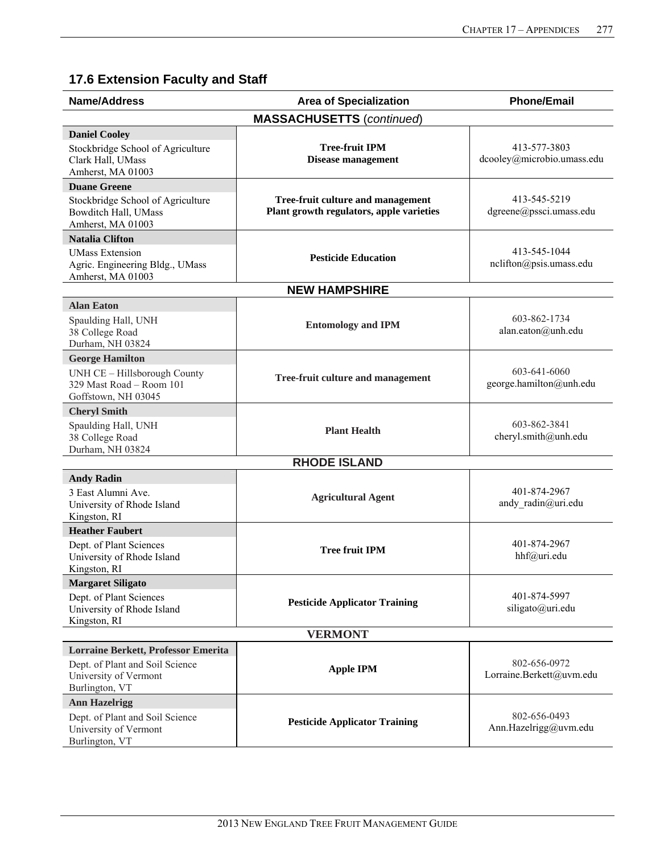# **17.6 Extension Faculty and Staff**

| <b>Name/Address</b>                                                                                               | <b>Area of Specialization</b>                                                 | <b>Phone/Email</b>                         |
|-------------------------------------------------------------------------------------------------------------------|-------------------------------------------------------------------------------|--------------------------------------------|
|                                                                                                                   | <b>MASSACHUSETTS (continued)</b>                                              |                                            |
| <b>Daniel Cooley</b><br>Stockbridge School of Agriculture<br>Clark Hall, UMass<br>Amherst, MA 01003               | <b>Tree-fruit IPM</b><br><b>Disease management</b>                            | 413-577-3803<br>dcooley@microbio.umass.edu |
| <b>Duane Greene</b><br>Stockbridge School of Agriculture<br>Bowditch Hall, UMass<br>Amherst, MA 01003             | Tree-fruit culture and management<br>Plant growth regulators, apple varieties | 413-545-5219<br>dgreene@pssci.umass.edu    |
| <b>Natalia Clifton</b><br><b>UMass Extension</b><br>Agric. Engineering Bldg., UMass<br>Amherst, MA 01003          | <b>Pesticide Education</b>                                                    | 413-545-1044<br>nclifton@psis.umass.edu    |
|                                                                                                                   | <b>NEW HAMPSHIRE</b>                                                          |                                            |
| <b>Alan Eaton</b><br>Spaulding Hall, UNH<br>38 College Road<br>Durham, NH 03824                                   | <b>Entomology and IPM</b>                                                     | 603-862-1734<br>alan.eaton@unh.edu         |
| <b>George Hamilton</b><br>UNH CE - Hillsborough County<br>329 Mast Road - Room 101<br>Goffstown, NH 03045         | Tree-fruit culture and management                                             | 603-641-6060<br>george.hamilton@unh.edu    |
| <b>Cheryl Smith</b>                                                                                               |                                                                               |                                            |
| Spaulding Hall, UNH<br>38 College Road<br>Durham, NH 03824                                                        | <b>Plant Health</b>                                                           | 603-862-3841<br>cheryl.smith@unh.edu       |
| <b>RHODE ISLAND</b>                                                                                               |                                                                               |                                            |
| <b>Andy Radin</b><br>3 East Alumni Ave.<br>University of Rhode Island<br>Kingston, RI                             | <b>Agricultural Agent</b>                                                     | 401-874-2967<br>andy radin@uri.edu         |
| <b>Heather Faubert</b>                                                                                            |                                                                               |                                            |
| Dept. of Plant Sciences<br>University of Rhode Island<br>Kingston, RI                                             | <b>Tree fruit IPM</b>                                                         | 401-874-2967<br>hhf@uri.edu                |
| <b>Margaret Siligato</b>                                                                                          |                                                                               |                                            |
| Dept. of Plant Sciences<br>University of Rhode Island<br>Kingston, RI                                             | <b>Pesticide Applicator Training</b>                                          | 401-874-5997<br>siligato@uri.edu           |
| <b>VERMONT</b>                                                                                                    |                                                                               |                                            |
| Lorraine Berkett, Professor Emerita<br>Dept. of Plant and Soil Science<br>University of Vermont<br>Burlington, VT | <b>Apple IPM</b>                                                              | 802-656-0972<br>Lorraine.Berkett@uvm.edu   |
| <b>Ann Hazelrigg</b>                                                                                              |                                                                               |                                            |
| Dept. of Plant and Soil Science<br>University of Vermont<br>Burlington, VT                                        | <b>Pesticide Applicator Training</b>                                          | 802-656-0493<br>Ann.Hazelrigg@uvm.edu      |